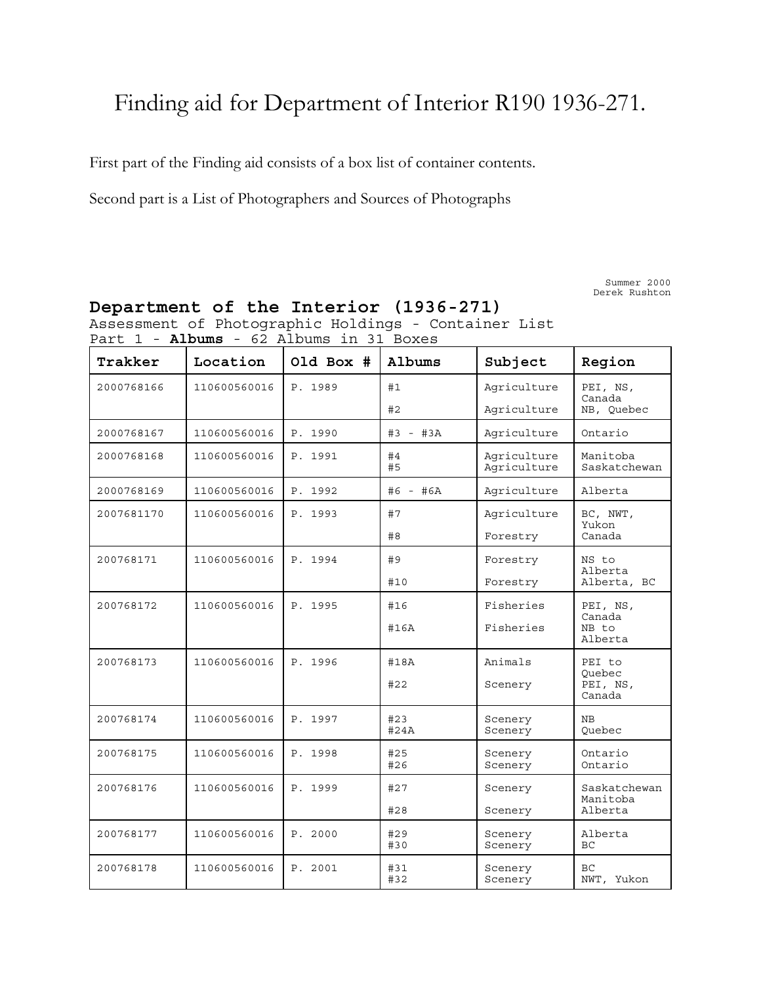# Finding aid for Department of Interior R190 1936-271.

First part of the Finding aid consists of a box list of container contents.

Second part is a List of Photographers and Sources of Photographs

Summer 2000 Derek Rushton

| Trakker    | Location                | Old Box # | Albums                            | Subject                                  | Region                       |  |
|------------|-------------------------|-----------|-----------------------------------|------------------------------------------|------------------------------|--|
| 2000768166 | 110600560016            | P. 1989   | #1                                | Agriculture                              | PEI, NS,                     |  |
|            |                         |           | #2                                | Agriculture                              | Canada<br>NB, Quebec         |  |
| 2000768167 | 110600560016            | P. 1990   | Agriculture<br>#3 - #3A           |                                          | Ontario                      |  |
| 2000768168 | 110600560016            | P. 1991   | #4<br>#5                          | Agriculture<br>Agriculture               |                              |  |
| 2000768169 | 110600560016            | P. 1992   | #6 - #6A                          | Agriculture                              | Alberta                      |  |
| 2007681170 | 110600560016            | P. 1993   | #7                                | Agriculture                              | BC, NWT,                     |  |
|            |                         |           | Yukon<br>#8<br>Canada<br>Forestry |                                          |                              |  |
| 200768171  | 110600560016            | P. 1994   | #9                                | Forestry                                 | NS to                        |  |
|            |                         |           | #10                               | Forestry                                 | Alberta<br>Alberta, BC       |  |
| 200768172  | 110600560016            | P. 1995   | #16                               | Fisheries                                | PEI, NS,                     |  |
|            |                         |           | #16A                              | Fisheries                                | Canada<br>NB to<br>Alberta   |  |
| 200768173  | 110600560016            | P. 1996   | #18A                              | Animals                                  | PEI to                       |  |
|            |                         | #22       |                                   | Scenery                                  | Ouebec<br>PEI, NS,<br>Canada |  |
| 200768174  | 110600560016            | P. 1997   | #23<br>#24A                       | Scenery<br>Scenery                       | NB<br>Quebec                 |  |
| 200768175  | 110600560016            | P. 1998   | #25<br>#26                        | Ontario<br>Scenery<br>Ontario<br>Scenery |                              |  |
| 200768176  | 110600560016<br>P. 1999 |           | #27                               | Scenery                                  | Saskatchewan                 |  |
|            |                         |           | #28                               | Scenery                                  | Manitoba<br>Alberta          |  |
| 200768177  | 110600560016            | P. 2000   | #29<br>#30                        | Scenery<br>Scenery                       | Alberta<br>BC                |  |
| 200768178  | 110600560016            | P. 2001   | #31<br>#32                        | Scenery<br>Scenery                       | <b>BC</b><br>NWT, Yukon      |  |

**Department of the Interior (1936-271)** Assessment of Photographic Holdings - Container List Part 1 - **Albums** - 62 Albums in 31 Boxes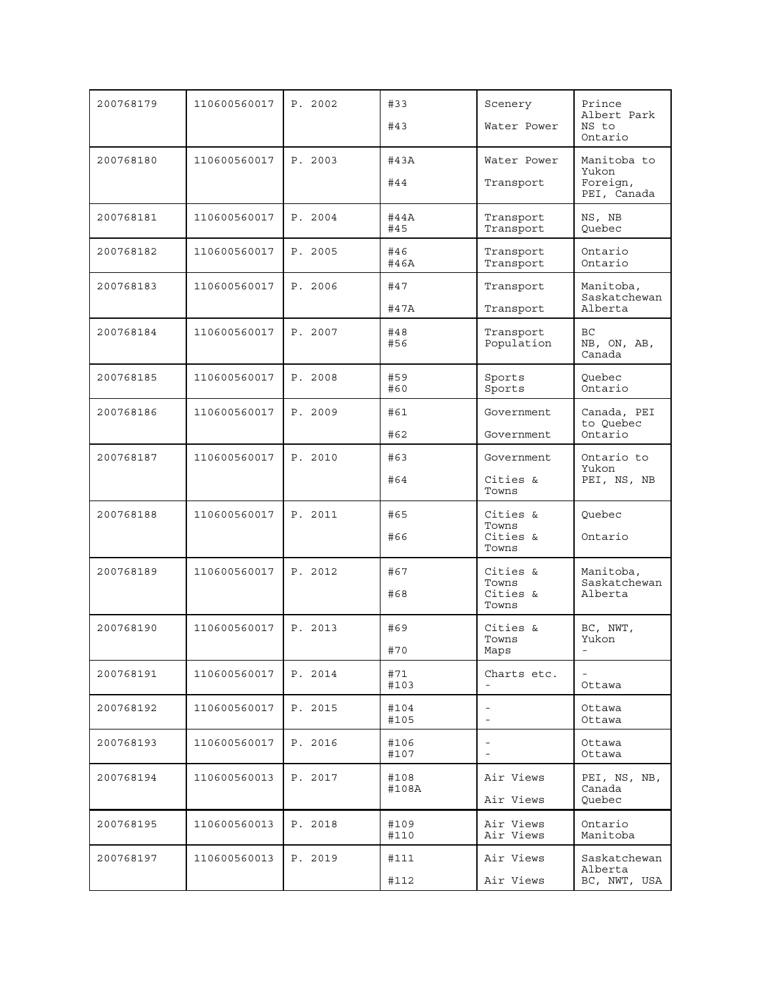| 200768179 | 110600560017 | P. 2002 | #33<br>#43                            | Scenery<br>Water Power                               | Prince<br>Albert Park<br>NS to<br>Ontario       |
|-----------|--------------|---------|---------------------------------------|------------------------------------------------------|-------------------------------------------------|
| 200768180 | 110600560017 | P. 2003 | #43A<br>#44                           | Water Power<br>Transport                             | Manitoba to<br>Yukon<br>Foreign,<br>PEI, Canada |
| 200768181 | 110600560017 | P. 2004 | #44A<br>#45                           | Transport<br>Transport                               |                                                 |
| 200768182 | 110600560017 | P. 2005 | #46<br>Transport<br>#46A<br>Transport |                                                      | Ontario<br>Ontario                              |
| 200768183 | 110600560017 | P. 2006 | #47<br>#47A                           | Transport<br>Transport                               | Manitoba,<br>Saskatchewan<br>Alberta            |
| 200768184 | 110600560017 | P. 2007 | #48<br>#56                            | Transport<br>Population                              | BC<br>NB, ON, AB,<br>Canada                     |
| 200768185 | 110600560017 | P. 2008 | #59<br>#60                            | Sports<br>Sports                                     | Ouebec<br>Ontario                               |
| 200768186 | 110600560017 | P. 2009 | #61<br>#62                            | Government<br>Government                             | Canada, PEI<br>to Quebec<br>Ontario             |
| 200768187 | 110600560017 | P. 2010 | #63<br>#64                            | Government<br>Cities &<br>Towns                      | Ontario to<br>Yukon<br>PEI, NS, NB              |
| 200768188 | 110600560017 | P. 2011 | #65<br>#66                            | Cities &<br>Towns<br>Cities &<br>Towns               | Quebec<br>Ontario                               |
| 200768189 | 110600560017 | P. 2012 | #67<br>#68                            | Cities &<br>Towns<br>Cities &<br>Towns               | Manitoba,<br>Saskatchewan<br>Alberta            |
| 200768190 | 110600560017 | P. 2013 | #69<br>#70                            | Cities &<br>Towns<br>Maps                            | BC, NWT,<br>Yukon<br>$\overline{\phantom{a}}$   |
| 200768191 | 110600560017 | P. 2014 | #71<br>#103                           | Charts etc.                                          | Ottawa                                          |
| 200768192 | 110600560017 | P. 2015 | #104<br>#105                          | $\overline{\phantom{a}}$<br>$\overline{\phantom{a}}$ | Ottawa<br>Ottawa                                |
| 200768193 | 110600560017 | P. 2016 | #106<br>#107                          | $\overline{\phantom{a}}$<br>$\overline{\phantom{a}}$ | Ottawa<br>Ottawa                                |
| 200768194 | 110600560013 | P. 2017 | #108<br>#108A                         | Air Views<br>Air Views                               | PEI, NS, NB,<br>Canada<br>Ouebec                |
| 200768195 | 110600560013 | P. 2018 | #109<br>#110                          | Air Views<br>Air Views                               | Ontario<br>Manitoba                             |
| 200768197 | 110600560013 | P. 2019 | #111<br>#112                          | Air Views<br>Air Views                               | Saskatchewan<br>Alberta<br>BC, NWT, USA         |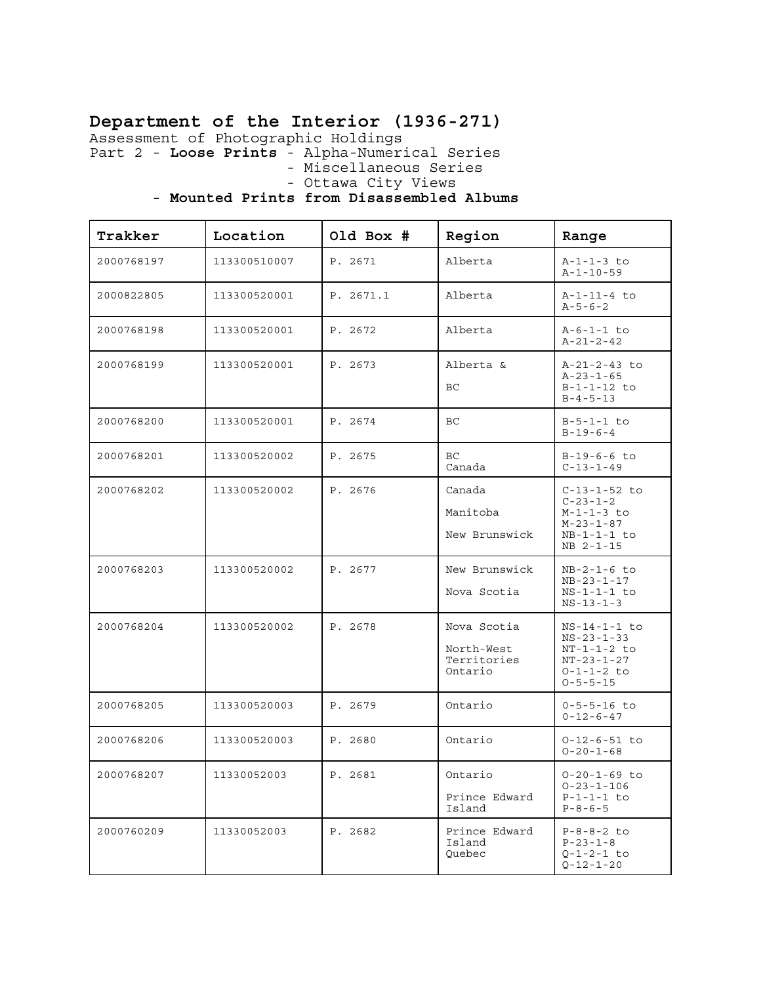# **Department of the Interior (1936-271)**

Assessment of Photographic Holdings

Part 2 - **Loose Prints** - Alpha-Numerical Series

- Miscellaneous Series

- Ottawa City Views

#### - **Mounted Prints from Disassembled Albums**

| Trakker    | Location     | Old Box # | Region                                              | Range                                                                                                                 |
|------------|--------------|-----------|-----------------------------------------------------|-----------------------------------------------------------------------------------------------------------------------|
| 2000768197 | 113300510007 | P. 2671   | Alberta                                             | $A-1-1-3$ to<br>$A - 1 - 10 - 59$                                                                                     |
| 2000822805 | 113300520001 | P. 2671.1 | Alberta                                             | A-1-11-4 to<br>$A - 5 - 6 - 2$                                                                                        |
| 2000768198 | 113300520001 | P. 2672   | Alberta                                             | $A-6-1-1 to$<br>$A - 21 - 2 - 42$                                                                                     |
| 2000768199 | 113300520001 | P. 2673   | Alberta &<br>ВC                                     | A-21-2-43 to<br>$A - 23 - 1 - 65$<br>$B-1-1-12$ to<br>$B - 4 - 5 - 13$                                                |
| 2000768200 | 113300520001 | P. 2674   | BC                                                  | $B - 5 - 1 - 1$ to<br>$B-19-6-4$                                                                                      |
| 2000768201 | 113300520002 | P. 2675   | BC<br>Canada                                        | $B-19-6-6$ to<br>$C - 13 - 1 - 49$                                                                                    |
| 2000768202 | 113300520002 | P. 2676   | Canada<br>Manitoba<br>New Brunswick                 | $C-13-1-52$ to<br>$C-23-1-2$<br>$M - 1 - 1 - 3$ to<br>$M-23-1-87$<br>$NB-1-1-1$ to<br>NB 2-1-15                       |
| 2000768203 | 113300520002 | P. 2677   | New Brunswick<br>Nova Scotia                        | $NB-2-1-6$ to<br>$NB-23-1-17$<br>$NS-1-1-1$ to<br>$NS - 13 - 1 - 3$                                                   |
| 2000768204 | 113300520002 | P. 2678   | Nova Scotia<br>North-West<br>Territories<br>Ontario | $NS-14-1-1$ to<br>$NS - 23 - 1 - 33$<br>$NT-1-1-2$ to<br>$NT - 23 - 1 - 27$<br>$0 - 1 - 1 - 2$ to<br>$0 - 5 - 5 - 15$ |
| 2000768205 | 113300520003 | P. 2679   | Ontario                                             | $0 - 5 - 5 - 16$ to<br>$0 - 12 - 6 - 47$                                                                              |
| 2000768206 | 113300520003 | P. 2680   | Ontario                                             | $0 - 12 - 6 - 51$ to<br>$0 - 20 - 1 - 68$                                                                             |
| 2000768207 | 11330052003  | P. 2681   | Ontario<br>Prince Edward<br>Island                  | $0 - 20 - 1 - 69$ to<br>$0 - 23 - 1 - 106$<br>$P-1-1-1$ to<br>$P - 8 - 6 - 5$                                         |
| 2000760209 | 11330052003  | P. 2682   | Prince Edward<br>Island<br>Ouebec                   | $P - 8 - 8 - 2$ to<br>$P-23-1-8$<br>$Q - 1 - 2 - 1$ to<br>$Q - 12 - 1 - 20$                                           |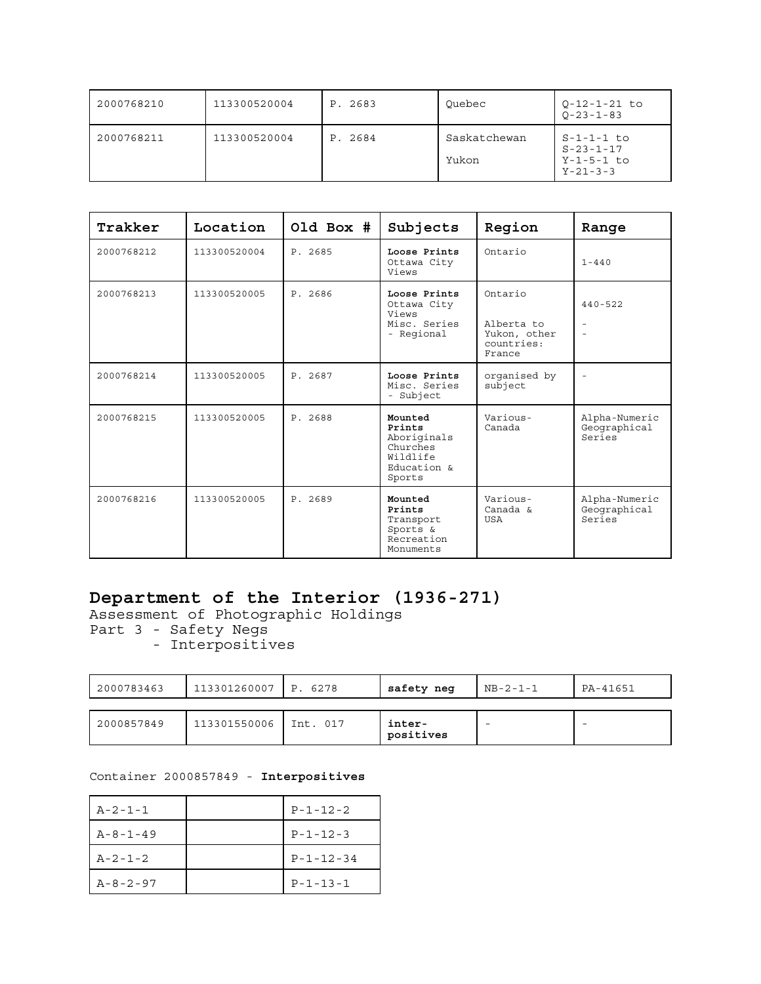| 2000768210 | 113300520004 | P. 2683 | Ouebec                | $0 - 12 - 1 - 21$ to<br>$0 - 23 - 1 - 83$                           |
|------------|--------------|---------|-----------------------|---------------------------------------------------------------------|
| 2000768211 | 113300520004 | P. 2684 | Saskatchewan<br>Yukon | $S-1-1-1$ to<br>$S - 23 - 1 - 17$<br>Y-1-5-1 to<br>$Y - 21 - 3 - 3$ |

| Trakker    | Location     | Old Box # | Subjects                                                                          | Region                                                        | Range                                                               |
|------------|--------------|-----------|-----------------------------------------------------------------------------------|---------------------------------------------------------------|---------------------------------------------------------------------|
| 2000768212 | 113300520004 | P. 2685   | Loose Prints<br>Ottawa City<br>Views                                              | Ontario                                                       | $1 - 440$                                                           |
| 2000768213 | 113300520005 | P. 2686   | Loose Prints<br>Ottawa City<br>Views<br>Misc. Series<br>- Regional                | Ontario<br>Alberta to<br>Yukon, other<br>countries:<br>France | $440 - 522$<br>$\overline{\phantom{a}}$<br>$\overline{\phantom{a}}$ |
| 2000768214 | 113300520005 | P. 2687   | Loose Prints<br>Misc. Series<br>- Subject                                         | organised by<br>subject                                       | $\sim$                                                              |
| 2000768215 | 113300520005 | P. 2688   | Mounted<br>Prints<br>Aboriginals<br>Churches<br>Wildlife<br>Education &<br>Sports | Various-<br>Canada                                            | Alpha-Numeric<br>Geographical<br>Series                             |
| 2000768216 | 113300520005 | P. 2689   | Mounted<br>Prints<br>Transport<br>Sports &<br>Recreation<br>Monuments             | Various-<br>Canada &<br>USA                                   | Alpha-Numeric<br>Geographical<br>Series                             |

# **Department of the Interior (1936-271)**

Assessment of Photographic Holdings

- Part 3 Safety Negs
- Interpositives

| 2000783463 | 113301260007 | P. 6278  | safety neg          | $NB - 2 - 1 - 1$ | PA-41651 |
|------------|--------------|----------|---------------------|------------------|----------|
| 2000857849 | 113301550006 | Int. 017 | inter-<br>positives |                  |          |

Container 2000857849 - **Interpositives**

| $A - 2 - 1 - 1$  | $P - 1 - 12 - 2$  |
|------------------|-------------------|
| $A - 8 - 1 - 49$ | $P - 1 - 12 - 3$  |
| $A - 2 - 1 - 2$  | $P - 1 - 12 - 34$ |
| $A - 8 - 2 - 97$ | $P - 1 - 13 - 1$  |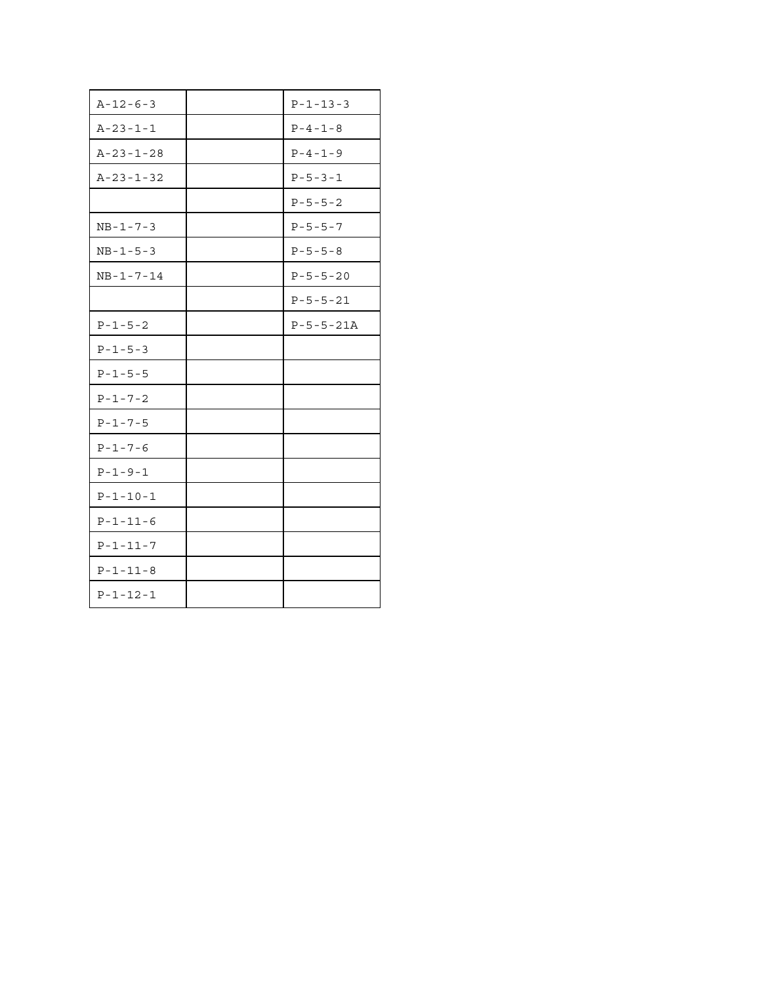| $A - 12 - 6 - 3$  | $P - 1 - 13 - 3$  |
|-------------------|-------------------|
| $A - 23 - 1 - 1$  | $P - 4 - 1 - 8$   |
| $A - 23 - 1 - 28$ | $P - 4 - 1 - 9$   |
| $A - 23 - 1 - 32$ | $P - 5 - 3 - 1$   |
|                   | $P - 5 - 5 - 2$   |
| $NB - 1 - 7 - 3$  | $P - 5 - 5 - 7$   |
| $NB - 1 - 5 - 3$  | $P - 5 - 5 - 8$   |
| $NB - 1 - 7 - 14$ | $P - 5 - 5 - 20$  |
|                   | $P - 5 - 5 - 21$  |
| $P - 1 - 5 - 2$   | $P - 5 - 5 - 21A$ |
| $P - 1 - 5 - 3$   |                   |
| $P - 1 - 5 - 5$   |                   |
| $P - 1 - 7 - 2$   |                   |
| $P - 1 - 7 - 5$   |                   |
| $P - 1 - 7 - 6$   |                   |
| $P - 1 - 9 - 1$   |                   |
| $P - 1 - 10 - 1$  |                   |
| $P - 1 - 11 - 6$  |                   |
| $P - 1 - 11 - 7$  |                   |
| $P - 1 - 11 - 8$  |                   |
| $P - 1 - 12 - 1$  |                   |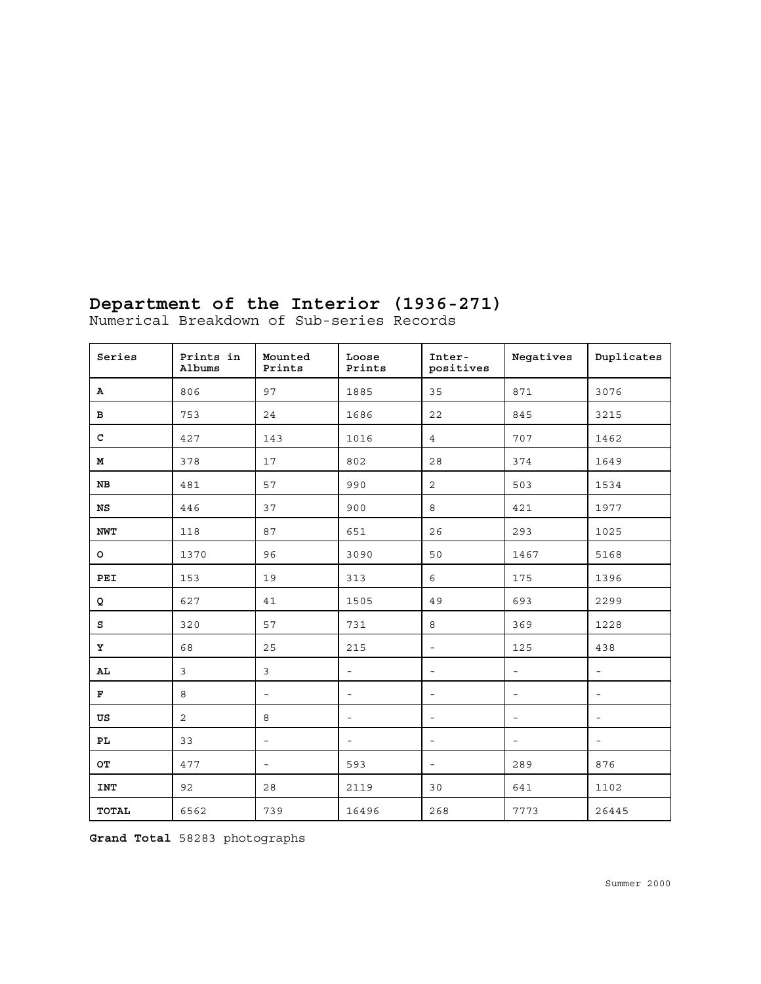# **Department of the Interior (1936-271)**

Numerical Breakdown of Sub-series Records

| Series       | Prints in<br>Albums | Mounted<br>Prints        | Loose<br>Prints          | Inter-<br>positives      | Negatives                | Duplicates               |
|--------------|---------------------|--------------------------|--------------------------|--------------------------|--------------------------|--------------------------|
| A            | 806                 | 97                       | 1885                     | 35                       | 871                      | 3076                     |
| в            | 753                 | 24                       | 1686                     | 22                       | 845                      | 3215                     |
| $\mathbf C$  | 427                 | 143                      | 1016                     | $\overline{4}$           | 707                      | 1462                     |
| М            | 378                 | 17                       | 802                      | 28                       | 374                      | 1649                     |
| NB           | 481                 | 57                       | 990                      | 2                        | 503                      | 1534                     |
| NS           | 446                 | 37                       | 900                      | 8                        | 421                      | 1977                     |
| <b>NWT</b>   | 118                 | 87                       | 651                      | 26                       | 293                      | 1025                     |
| $\circ$      | 1370                | 96                       | 3090                     | 50                       | 1467                     | 5168                     |
| <b>PEI</b>   | 153                 | 19                       | 313                      | 6                        | 175                      | 1396                     |
| Q            | 627                 | 41                       | 1505                     | 49                       | 693                      | 2299                     |
| s            | 320                 | 57                       | 731                      | $\,8\,$                  | 369                      | 1228                     |
| Y            | 68                  | 25                       | 215                      | $\overline{\phantom{a}}$ | 125                      | 438                      |
| AL           | 3                   | 3                        | $\overline{\phantom{a}}$ | $\overline{\phantom{a}}$ | $\overline{\phantom{a}}$ | $\overline{\phantom{a}}$ |
| $\mathbf F$  | 8                   | $\equiv$                 | $\overline{\phantom{a}}$ | $\overline{\phantom{a}}$ | $\overline{\phantom{a}}$ | $\overline{\phantom{a}}$ |
| US           | 2                   | 8                        | $\overline{\phantom{a}}$ | $\overline{\phantom{a}}$ | $\equiv$                 | $\overline{\phantom{a}}$ |
| PL           | 33                  | $\overline{\phantom{a}}$ | $\sim$                   | $\overline{\phantom{a}}$ | $\overline{\phantom{a}}$ | $\overline{\phantom{a}}$ |
| OТ           | 477                 | $\overline{\phantom{a}}$ | 593                      | $\overline{\phantom{a}}$ | 289                      | 876                      |
| INT          | 92                  | 28                       | 2119                     | 30                       | 641                      | 1102                     |
| <b>TOTAL</b> | 6562                | 739                      | 16496                    | 268                      | 7773                     | 26445                    |

**Grand Total** 58283 photographs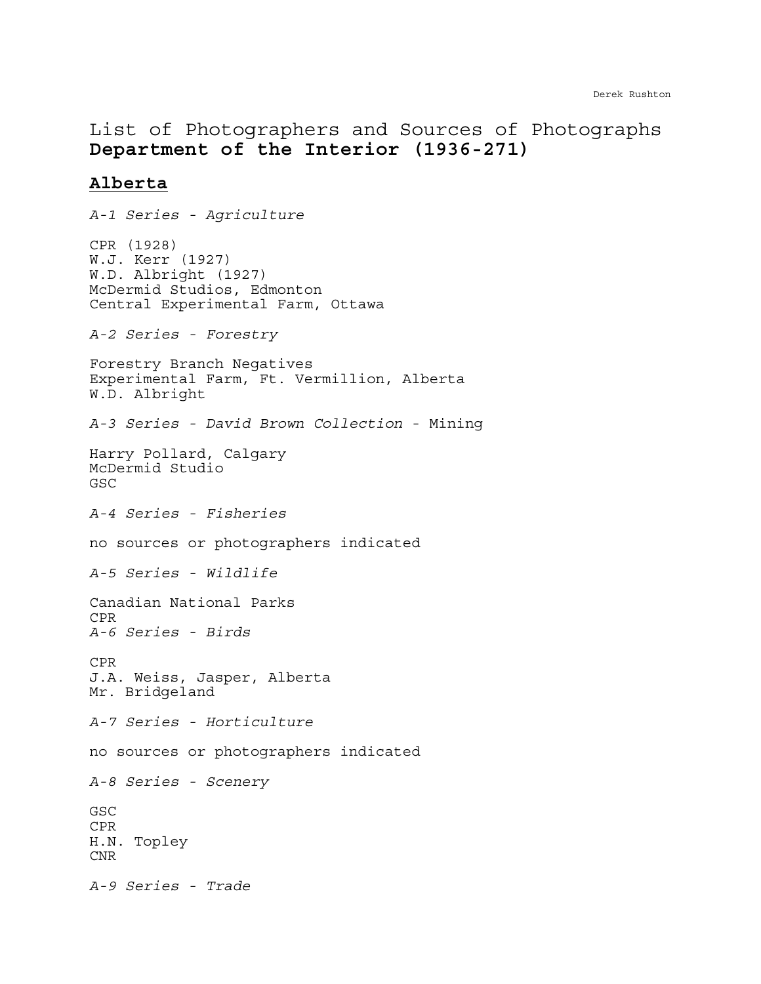# List of Photographers and Sources of Photographs **Department of the Interior (1936-271)**

## **Alberta**

*A-1 Series - Agriculture* CPR (1928) W.J. Kerr (1927) W.D. Albright (1927) McDermid Studios, Edmonton Central Experimental Farm, Ottawa *A-2 Series - Forestry* Forestry Branch Negatives Experimental Farm, Ft. Vermillion, Alberta W.D. Albright *A-3 Series - David Brown Collection* - Mining Harry Pollard, Calgary McDermid Studio GSC *A-4 Series - Fisheries* no sources or photographers indicated *A-5 Series - Wildlife* Canadian National Parks CPR *A-6 Series - Birds* CPR J.A. Weiss, Jasper, Alberta Mr. Bridgeland *A-7 Series - Horticulture* no sources or photographers indicated *A-8 Series - Scenery* GSC CPR H.N. Topley CNR *A-9 Series - Trade*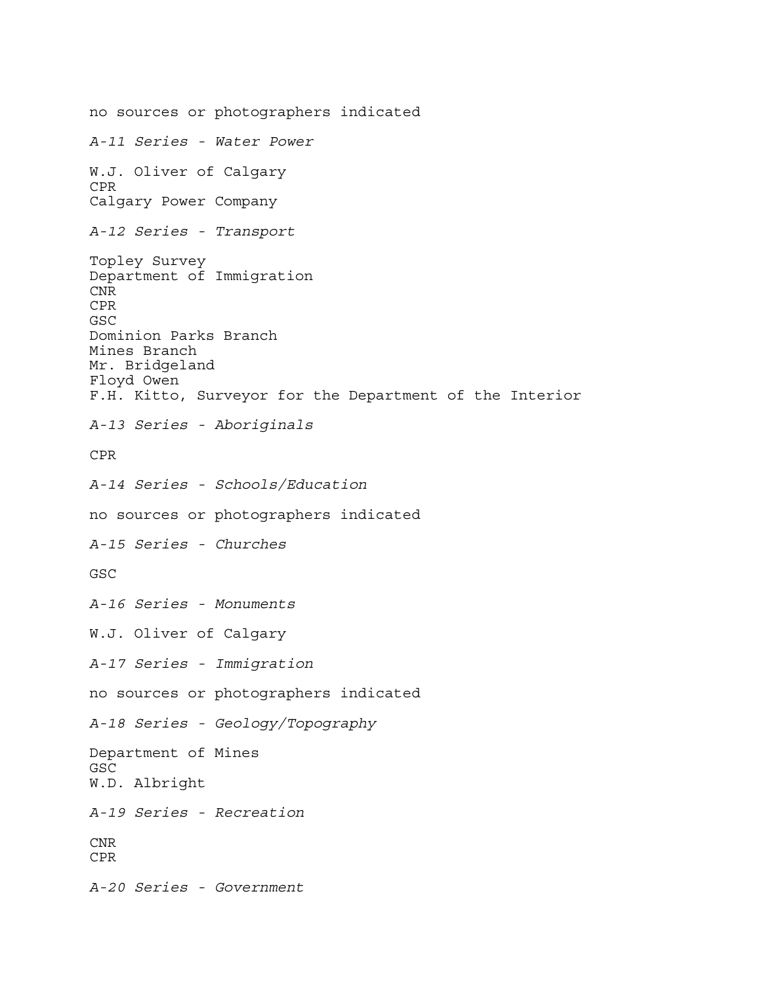no sources or photographers indicated *A-11 Series - Water Power* W.J. Oliver of Calgary CPR Calgary Power Company *A-12 Series - Transport* Topley Survey Department of Immigration CNR CPR GSC Dominion Parks Branch Mines Branch Mr. Bridgeland Floyd Owen F.H. Kitto, Surveyor for the Department of the Interior *A-13 Series - Aboriginals* CPR *A-14 Series - Schools/Education* no sources or photographers indicated *A-15 Series - Churches* GSC *A-16 Series - Monuments* W.J. Oliver of Calgary *A-17 Series - Immigration* no sources or photographers indicated *A-18 Series - Geology/Topography* Department of Mines GSC W.D. Albright *A-19 Series - Recreation* CNR CPR *A-20 Series - Government*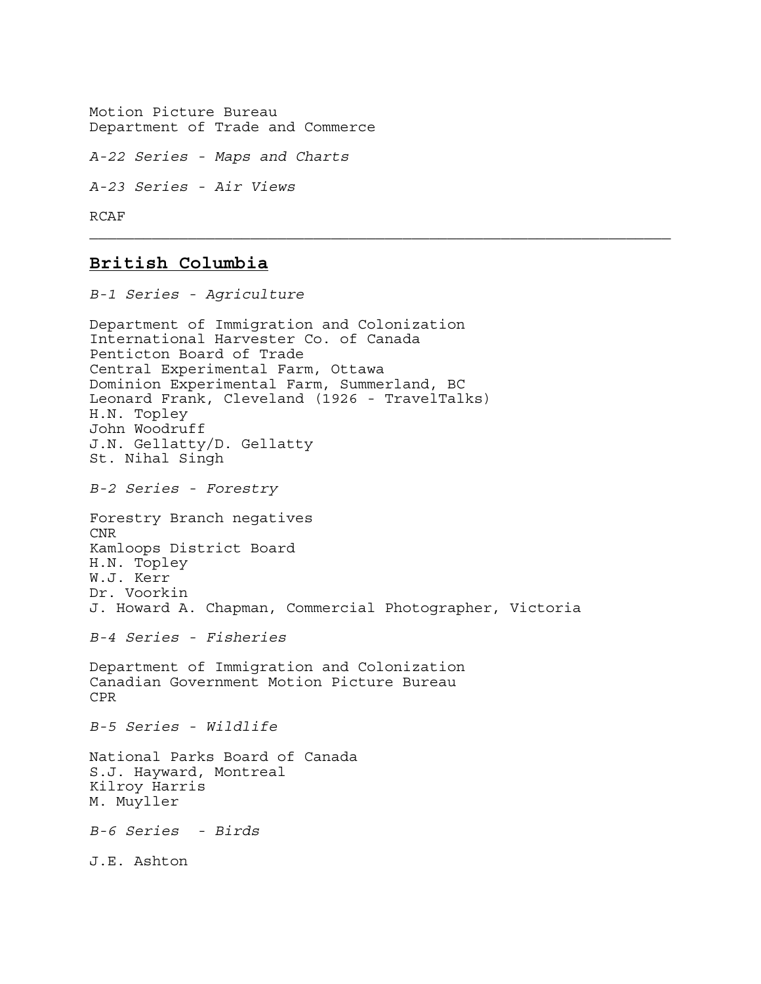Motion Picture Bureau Department of Trade and Commerce

*A-22 Series - Maps and Charts* 

*A-23 Series - Air Views*

RCAF

## **British Columbia**

*B-1 Series - Agriculture* Department of Immigration and Colonization International Harvester Co. of Canada Penticton Board of Trade Central Experimental Farm, Ottawa Dominion Experimental Farm, Summerland, BC Leonard Frank, Cleveland (1926 - TravelTalks) H.N. Topley John Woodruff J.N. Gellatty/D. Gellatty St. Nihal Singh *B-2 Series - Forestry* Forestry Branch negatives CNR Kamloops District Board H.N. Topley W.J. Kerr Dr. Voorkin J. Howard A. Chapman, Commercial Photographer, Victoria *B-4 Series - Fisheries* Department of Immigration and Colonization Canadian Government Motion Picture Bureau CPR *B-5 Series - Wildlife* National Parks Board of Canada S.J. Hayward, Montreal Kilroy Harris M. Muyller *B-6 Series - Birds* J.E. Ashton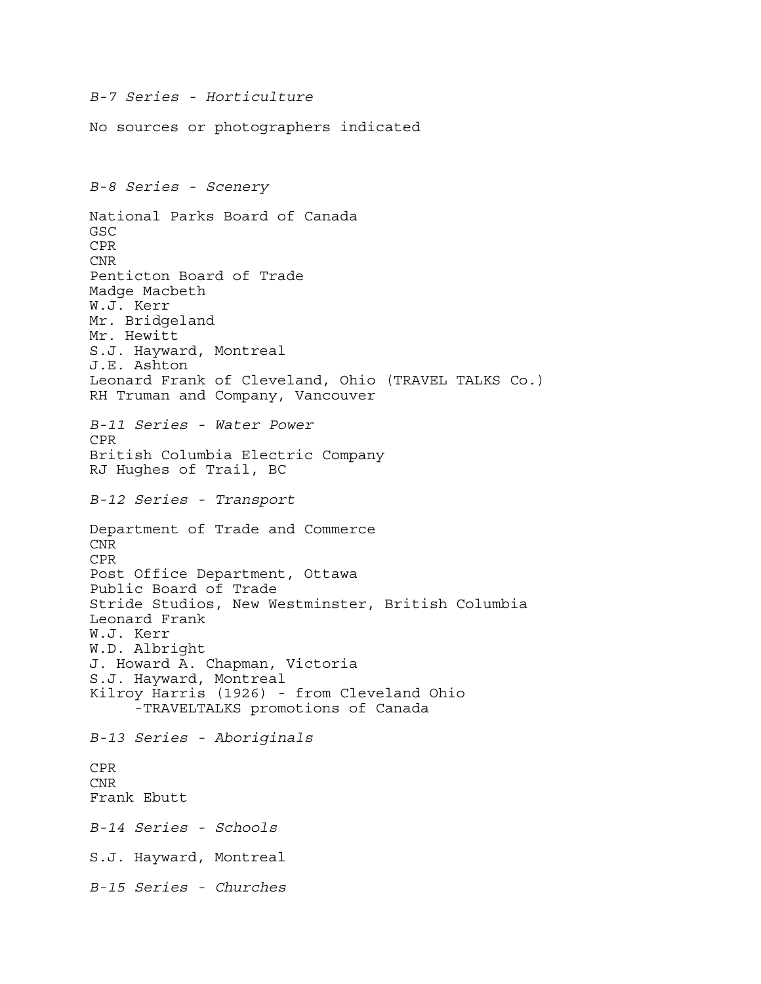*B-7 Series - Horticulture* No sources or photographers indicated *B-8 Series - Scenery* National Parks Board of Canada GSC CPR CNR Penticton Board of Trade Madge Macbeth W.J. Kerr Mr. Bridgeland Mr. Hewitt S.J. Hayward, Montreal J.E. Ashton Leonard Frank of Cleveland, Ohio (TRAVEL TALKS Co.) RH Truman and Company, Vancouver *B-11 Series - Water Power* CPR British Columbia Electric Company RJ Hughes of Trail, BC *B-12 Series - Transport* Department of Trade and Commerce CNR CPR Post Office Department, Ottawa Public Board of Trade Stride Studios, New Westminster, British Columbia Leonard Frank W.J. Kerr W.D. Albright J. Howard A. Chapman, Victoria S.J. Hayward, Montreal Kilroy Harris (1926) - from Cleveland Ohio -TRAVELTALKS promotions of Canada *B-13 Series - Aboriginals* CPR CNR Frank Ebutt *B-14 Series - Schools* S.J. Hayward, Montreal *B-15 Series - Churches*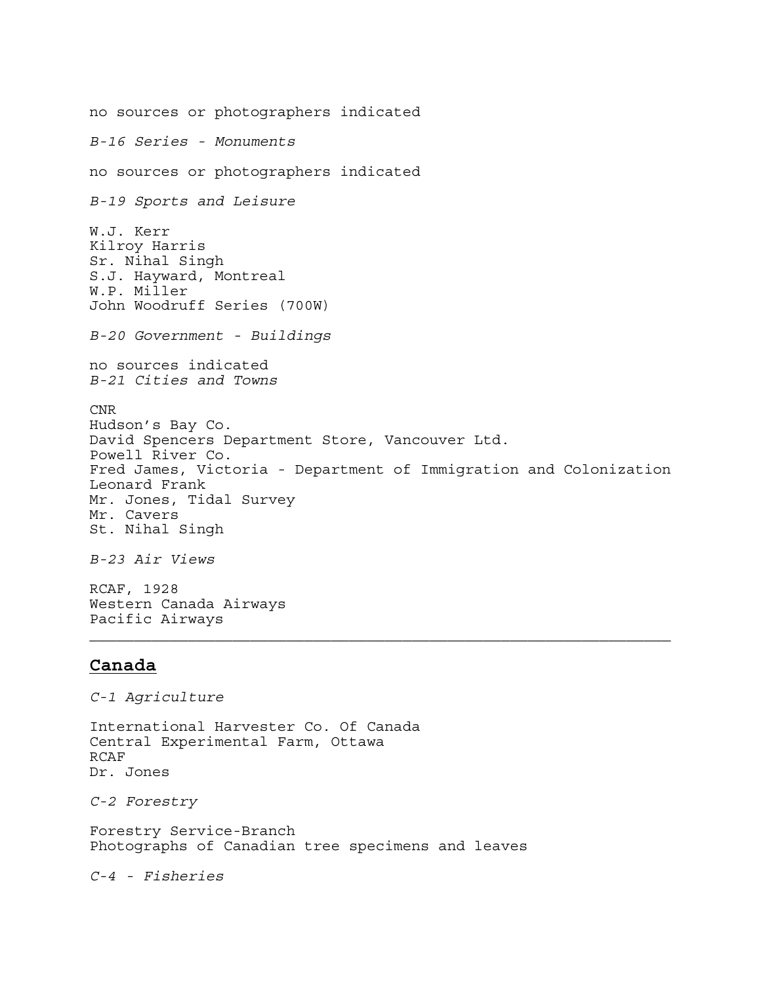no sources or photographers indicated *B-16 Series - Monuments* no sources or photographers indicated *B-19 Sports and Leisure* W.J. Kerr Kilroy Harris Sr. Nihal Singh S.J. Hayward, Montreal W.P. Miller John Woodruff Series (700W) *B-20 Government - Buildings* no sources indicated *B-21 Cities and Towns* CNR Hudson's Bay Co. David Spencers Department Store, Vancouver Ltd. Powell River Co. Fred James, Victoria - Department of Immigration and Colonization Leonard Frank Mr. Jones, Tidal Survey Mr. Cavers St. Nihal Singh *B-23 Air Views*

RCAF, 1928 Western Canada Airways Pacific Airways

## **Canada**

*C-1 Agriculture*

International Harvester Co. Of Canada Central Experimental Farm, Ottawa RCAF Dr. Jones

*C-2 Forestry*

Forestry Service-Branch Photographs of Canadian tree specimens and leaves

*C-4 - Fisheries*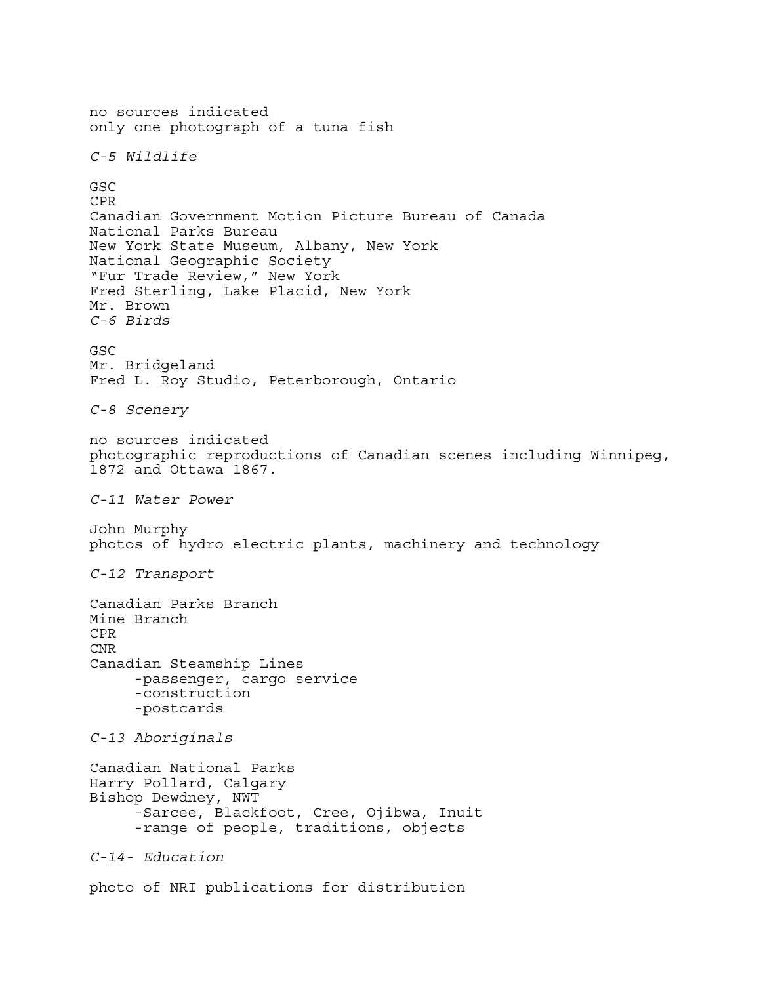no sources indicated only one photograph of a tuna fish *C-5 Wildlife*  GSC CPR Canadian Government Motion Picture Bureau of Canada National Parks Bureau New York State Museum, Albany, New York National Geographic Society "Fur Trade Review," New York Fred Sterling, Lake Placid, New York Mr. Brown *C-6 Birds* GSC Mr. Bridgeland Fred L. Roy Studio, Peterborough, Ontario *C-8 Scenery* no sources indicated photographic reproductions of Canadian scenes including Winnipeg, 1872 and Ottawa 1867. *C-11 Water Power* John Murphy photos of hydro electric plants, machinery and technology *C-12 Transport* Canadian Parks Branch Mine Branch CPR CNR Canadian Steamship Lines -passenger, cargo service -construction -postcards *C-13 Aboriginals* Canadian National Parks Harry Pollard, Calgary Bishop Dewdney, NWT -Sarcee, Blackfoot, Cree, Ojibwa, Inuit -range of people, traditions, objects *C-14- Education* photo of NRI publications for distribution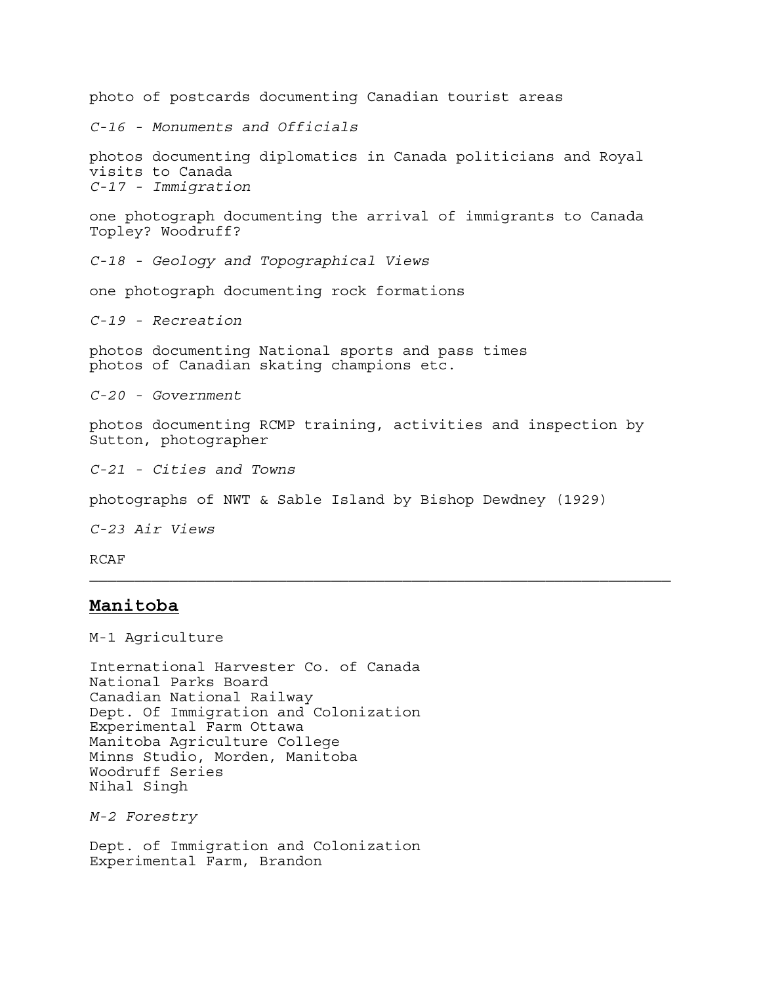photo of postcards documenting Canadian tourist areas *C-16 - Monuments and Officials* photos documenting diplomatics in Canada politicians and Royal visits to Canada *C-17 - Immigration* one photograph documenting the arrival of immigrants to Canada Topley? Woodruff? *C-18 - Geology and Topographical Views* one photograph documenting rock formations *C-19 - Recreation*  photos documenting National sports and pass times photos of Canadian skating champions etc. *C-20 - Government* photos documenting RCMP training, activities and inspection by Sutton, photographer *C-21 - Cities and Towns* photographs of NWT & Sable Island by Bishop Dewdney (1929) *C-23 Air Views*

RCAF

#### **Manitoba**

M-1 Agriculture

International Harvester Co. of Canada National Parks Board Canadian National Railway Dept. Of Immigration and Colonization Experimental Farm Ottawa Manitoba Agriculture College Minns Studio, Morden, Manitoba Woodruff Series Nihal Singh

*M-2 Forestry*

Dept. of Immigration and Colonization Experimental Farm, Brandon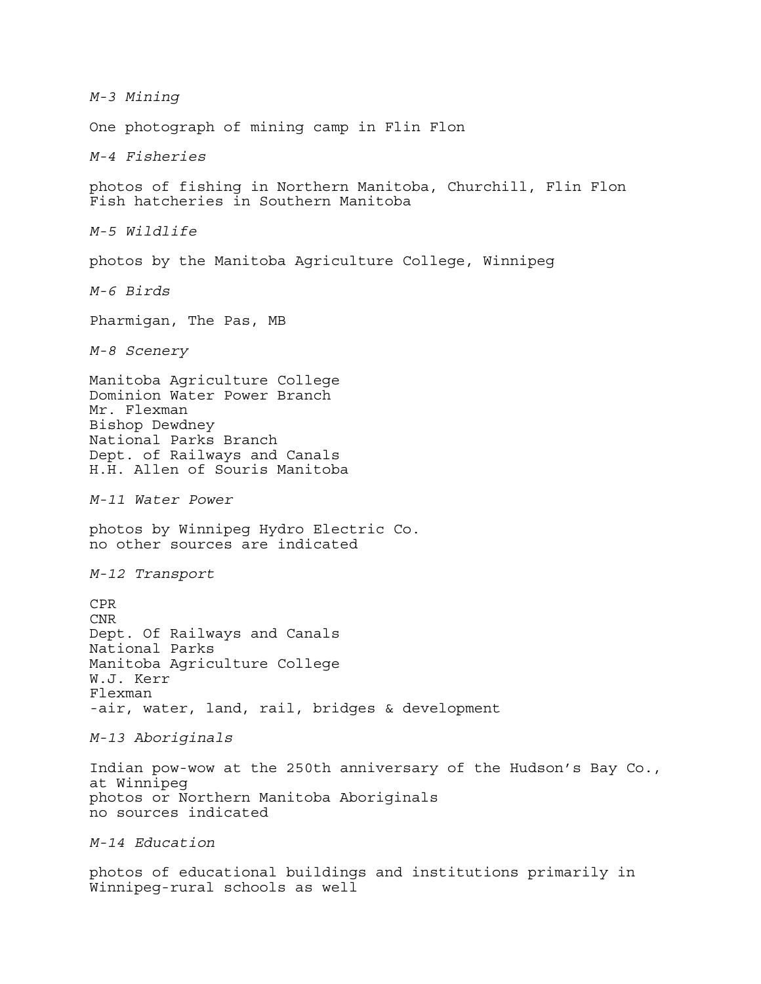*M-3 Mining* One photograph of mining camp in Flin Flon *M-4 Fisheries* photos of fishing in Northern Manitoba, Churchill, Flin Flon Fish hatcheries in Southern Manitoba *M-5 Wildlife* photos by the Manitoba Agriculture College, Winnipeg *M-6 Birds* Pharmigan, The Pas, MB *M-8 Scenery* Manitoba Agriculture College Dominion Water Power Branch Mr. Flexman Bishop Dewdney National Parks Branch Dept. of Railways and Canals H.H. Allen of Souris Manitoba *M-11 Water Power* photos by Winnipeg Hydro Electric Co. no other sources are indicated *M-12 Transport*  CPR CNR Dept. Of Railways and Canals National Parks Manitoba Agriculture College W.J. Kerr Flexman -air, water, land, rail, bridges & development *M-13 Aboriginals*  Indian pow-wow at the 250th anniversary of the Hudson's Bay Co., at Winnipeg photos or Northern Manitoba Aboriginals no sources indicated *M-14 Education* photos of educational buildings and institutions primarily in Winnipeg-rural schools as well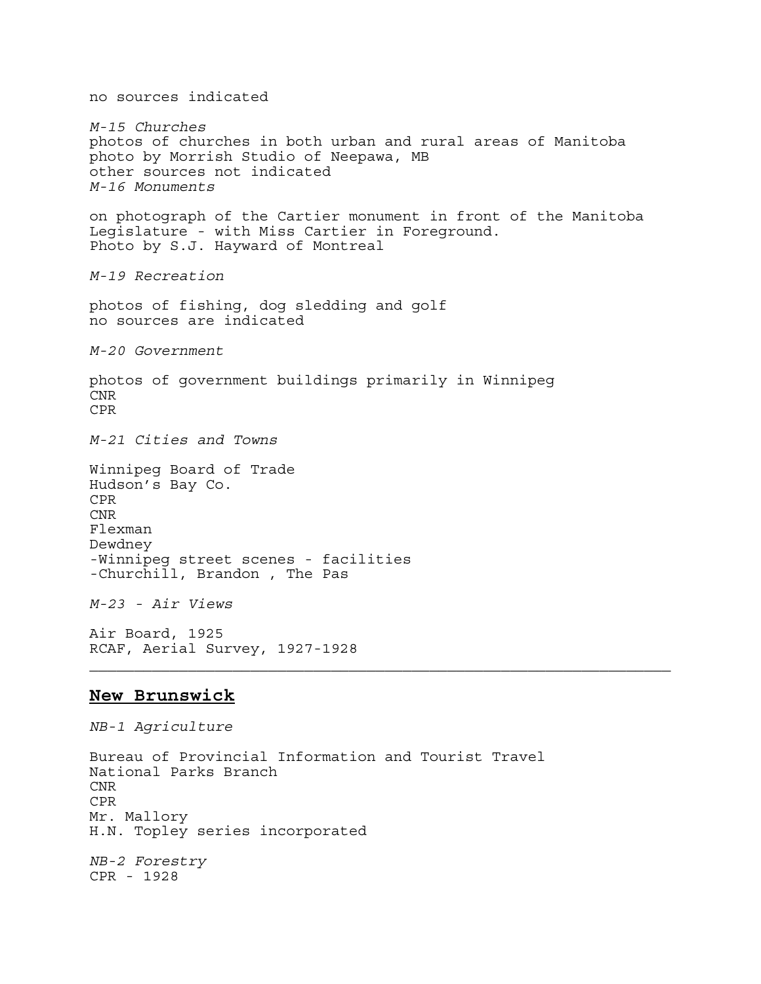no sources indicated *M-15 Churches* photos of churches in both urban and rural areas of Manitoba photo by Morrish Studio of Neepawa, MB other sources not indicated *M-16 Monuments*  on photograph of the Cartier monument in front of the Manitoba Legislature - with Miss Cartier in Foreground. Photo by S.J. Hayward of Montreal *M-19 Recreation*  photos of fishing, dog sledding and golf no sources are indicated *M-20 Government* photos of government buildings primarily in Winnipeg CNR CPR *M-21 Cities and Towns* Winnipeg Board of Trade Hudson's Bay Co. CPR CNR Flexman Dewdney -Winnipeg street scenes - facilities -Churchill, Brandon , The Pas *M-23 - Air Views* Air Board, 1925 RCAF, Aerial Survey, 1927-1928 **New Brunswick** *NB-1 Agriculture*

Bureau of Provincial Information and Tourist Travel National Parks Branch CNR CPR Mr. Mallory H.N. Topley series incorporated *NB-2 Forestry* CPR - 1928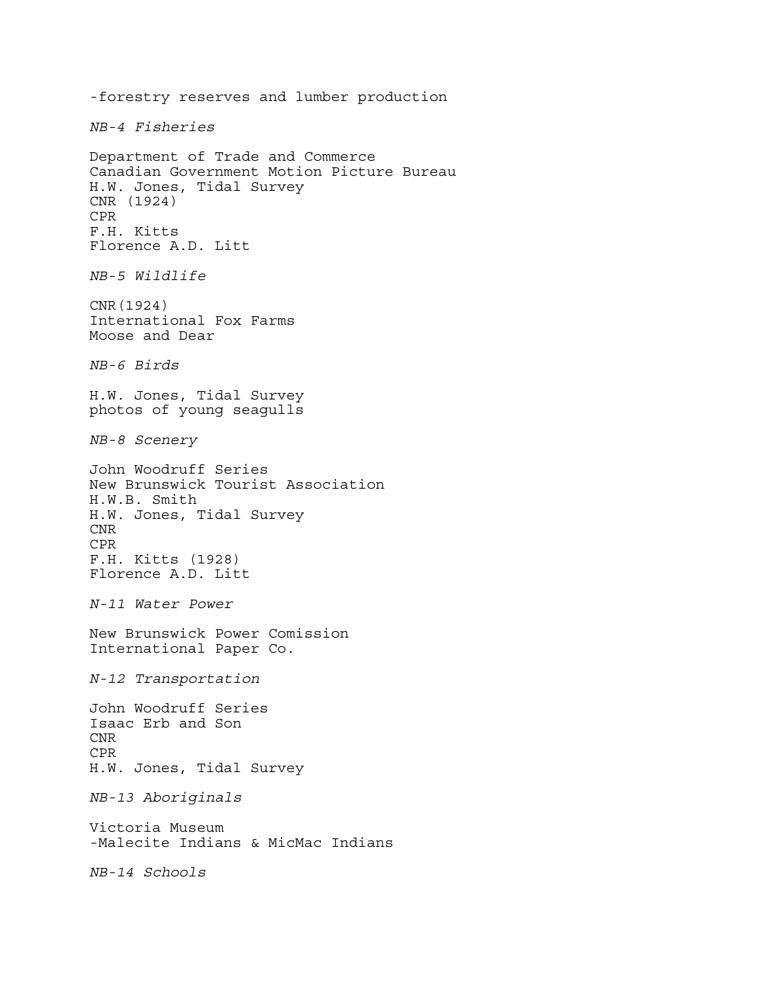-forestry reserves and lumber production *NB-4 Fisheries* Department of Trade and Commerce Canadian Government Motion Picture Bureau H.W. Jones, Tidal Survey CNR (1924) CPR F.H. Kitts Florence A.D. Litt *NB-5 Wildlife* CNR(1924) International Fox Farms Moose and Dear *NB-6 Birds* H.W. Jones, Tidal Survey photos of young seagulls *NB-8 Scenery* John Woodruff Series New Brunswick Tourist Association H.W.B. Smith H.W. Jones, Tidal Survey CNR CPR F.H. Kitts (1928) Florence A.D. Litt *N-11 Water Power* New Brunswick Power Comission International Paper Co. *N-12 Transportation* John Woodruff Series Isaac Erb and Son CNR CPR H.W. Jones, Tidal Survey *NB-13 Aboriginals* Victoria Museum -Malecite Indians & MicMac Indians *NB-14 Schools*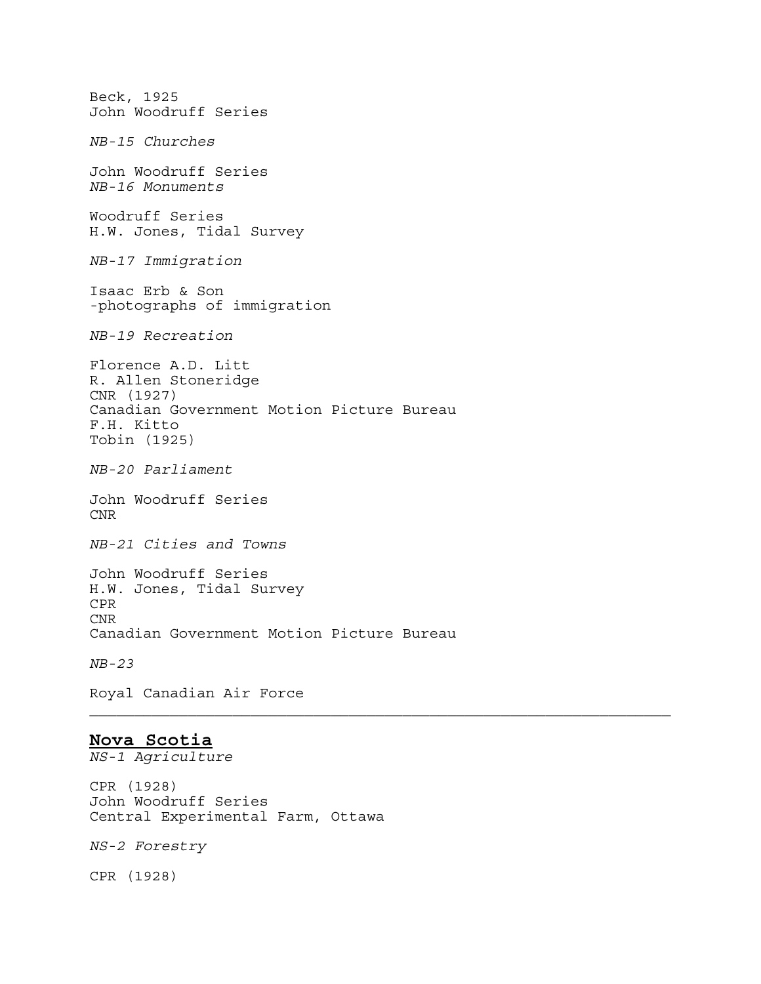Beck, 1925 John Woodruff Series *NB-15 Churches* John Woodruff Series *NB-16 Monuments* Woodruff Series H.W. Jones, Tidal Survey *NB-17 Immigration* Isaac Erb & Son -photographs of immigration *NB-19 Recreation* Florence A.D. Litt R. Allen Stoneridge CNR (1927) Canadian Government Motion Picture Bureau F.H. Kitto Tobin (1925) *NB-20 Parliament* John Woodruff Series CNR *NB-21 Cities and Towns* John Woodruff Series H.W. Jones, Tidal Survey CPR CNR Canadian Government Motion Picture Bureau *NB-23*  Royal Canadian Air Force

### **Nova Scotia**

*NS-1 Agriculture*

CPR (1928) John Woodruff Series Central Experimental Farm, Ottawa

*NS-2 Forestry*

CPR (1928)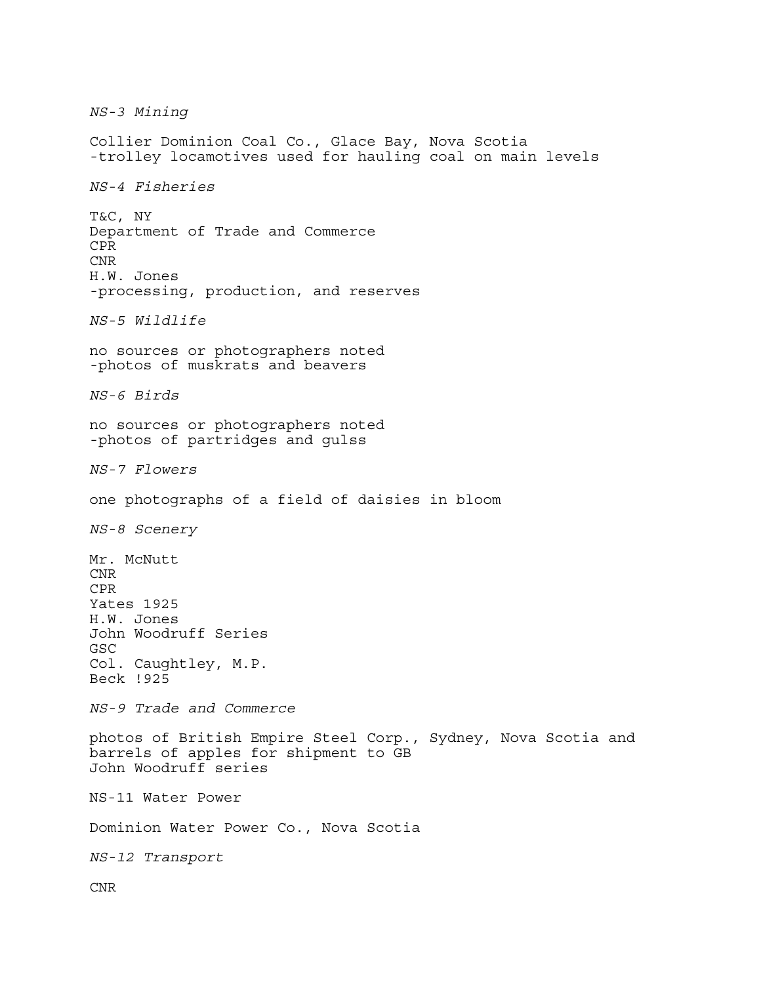*NS-3 Mining* Collier Dominion Coal Co., Glace Bay, Nova Scotia -trolley locamotives used for hauling coal on main levels *NS-4 Fisheries* T&C, NY Department of Trade and Commerce CPR CNR H.W. Jones -processing, production, and reserves *NS-5 Wildlife*  no sources or photographers noted -photos of muskrats and beavers *NS-6 Birds*  no sources or photographers noted -photos of partridges and gulss *NS-7 Flowers*  one photographs of a field of daisies in bloom *NS-8 Scenery*  Mr. McNutt CNR CPR Yates 1925 H.W. Jones John Woodruff Series GSC Col. Caughtley, M.P. Beck !925 *NS-9 Trade and Commerce* photos of British Empire Steel Corp., Sydney, Nova Scotia and barrels of apples for shipment to GB John Woodruff series NS-11 Water Power Dominion Water Power Co., Nova Scotia *NS-12 Transport* CNR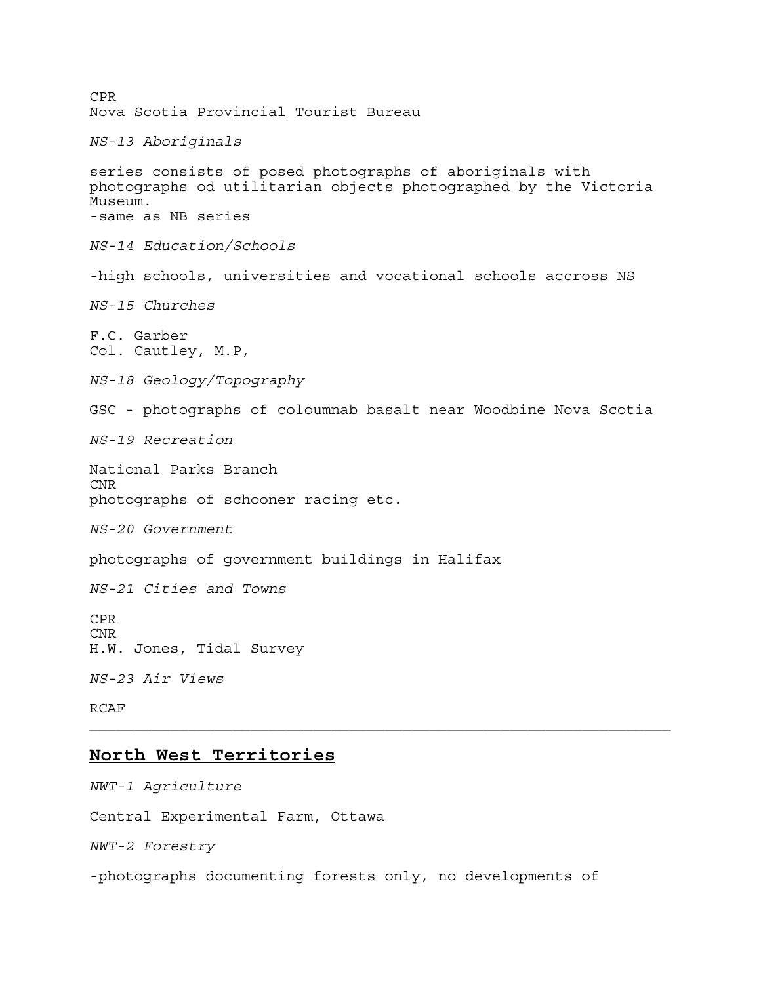CPR Nova Scotia Provincial Tourist Bureau *NS-13 Aboriginals* series consists of posed photographs of aboriginals with photographs od utilitarian objects photographed by the Victoria Museum. -same as NB series *NS-14 Education/Schools* -high schools, universities and vocational schools accross NS *NS-15 Churches* F.C. Garber Col. Cautley, M.P, *NS-18 Geology/Topography* GSC - photographs of coloumnab basalt near Woodbine Nova Scotia *NS-19 Recreation* National Parks Branch CNR photographs of schooner racing etc. *NS-20 Government* photographs of government buildings in Halifax *NS-21 Cities and Towns* CPR CNR H.W. Jones, Tidal Survey *NS-23 Air Views* RCAF **North West Territories** *NWT-1 Agriculture*

Central Experimental Farm, Ottawa

*NWT-2 Forestry*

-photographs documenting forests only, no developments of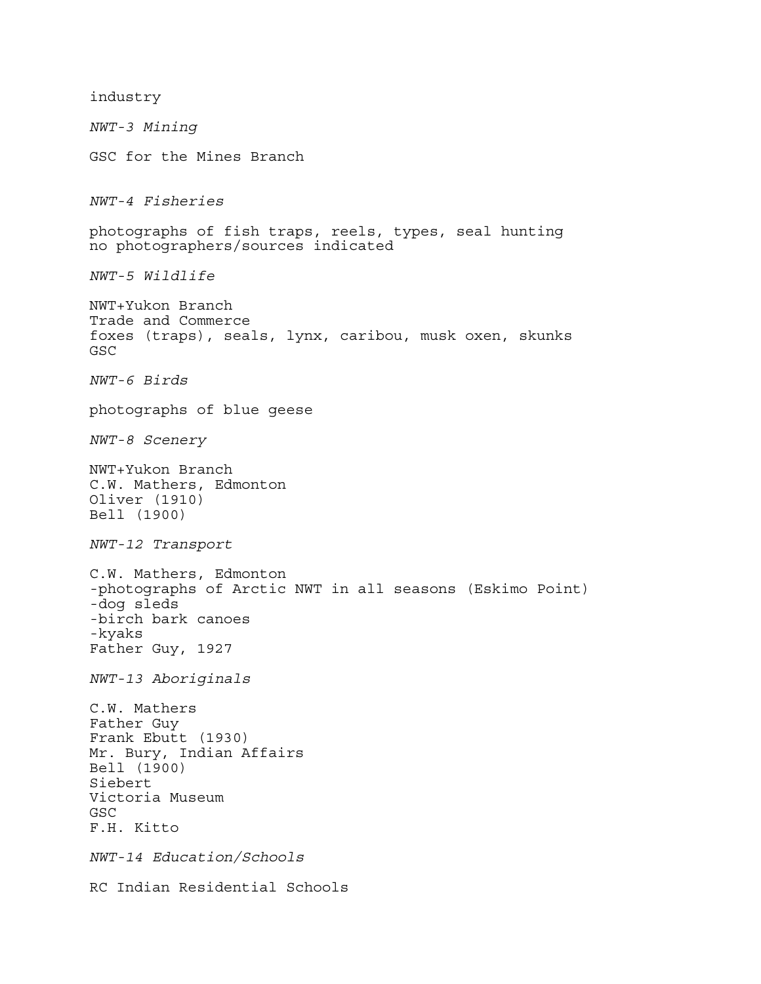industry *NWT-3 Mining* GSC for the Mines Branch *NWT-4 Fisheries* photographs of fish traps, reels, types, seal hunting no photographers/sources indicated *NWT-5 Wildlife* NWT+Yukon Branch Trade and Commerce foxes (traps), seals, lynx, caribou, musk oxen, skunks GSC *NWT-6 Birds* photographs of blue geese *NWT-8 Scenery* NWT+Yukon Branch C.W. Mathers, Edmonton Oliver (1910) Bell (1900) *NWT-12 Transport*  C.W. Mathers, Edmonton -photographs of Arctic NWT in all seasons (Eskimo Point) -dog sleds -birch bark canoes -kyaks Father Guy, 1927 *NWT-13 Aboriginals*  C.W. Mathers Father Guy Frank Ebutt (1930) Mr. Bury, Indian Affairs Bell (1900) Siebert Victoria Museum GSC F.H. Kitto *NWT-14 Education/Schools* RC Indian Residential Schools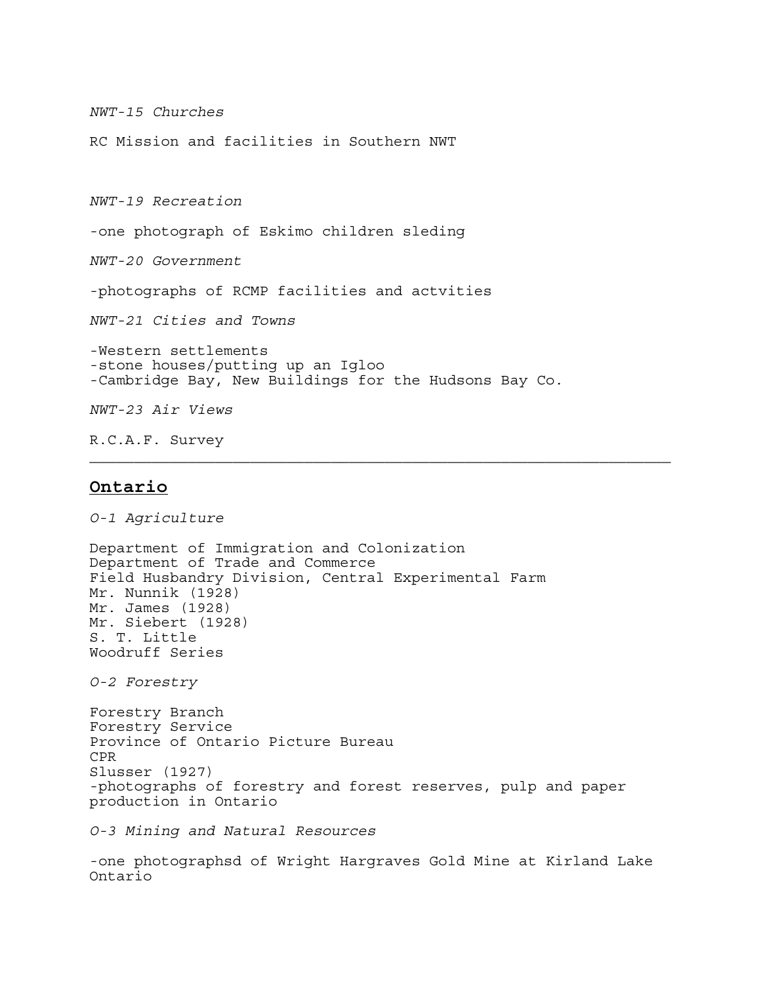*NWT-15 Churches*

RC Mission and facilities in Southern NWT

*NWT-19 Recreation*

-one photograph of Eskimo children sleding

*NWT-20 Government*

-photographs of RCMP facilities and actvities

*NWT-21 Cities and Towns*

-Western settlements -stone houses/putting up an Igloo -Cambridge Bay, New Buildings for the Hudsons Bay Co.

*NWT-23 Air Views*

R.C.A.F. Survey

#### **Ontario**

*O-1 Agriculture* Department of Immigration and Colonization Department of Trade and Commerce Field Husbandry Division, Central Experimental Farm Mr. Nunnik (1928) Mr. James (1928) Mr. Siebert (1928) S. T. Little Woodruff Series *O-2 Forestry* Forestry Branch Forestry Service Province of Ontario Picture Bureau CPR Slusser (1927) -photographs of forestry and forest reserves, pulp and paper production in Ontario

*O-3 Mining and Natural Resources*

-one photographsd of Wright Hargraves Gold Mine at Kirland Lake Ontario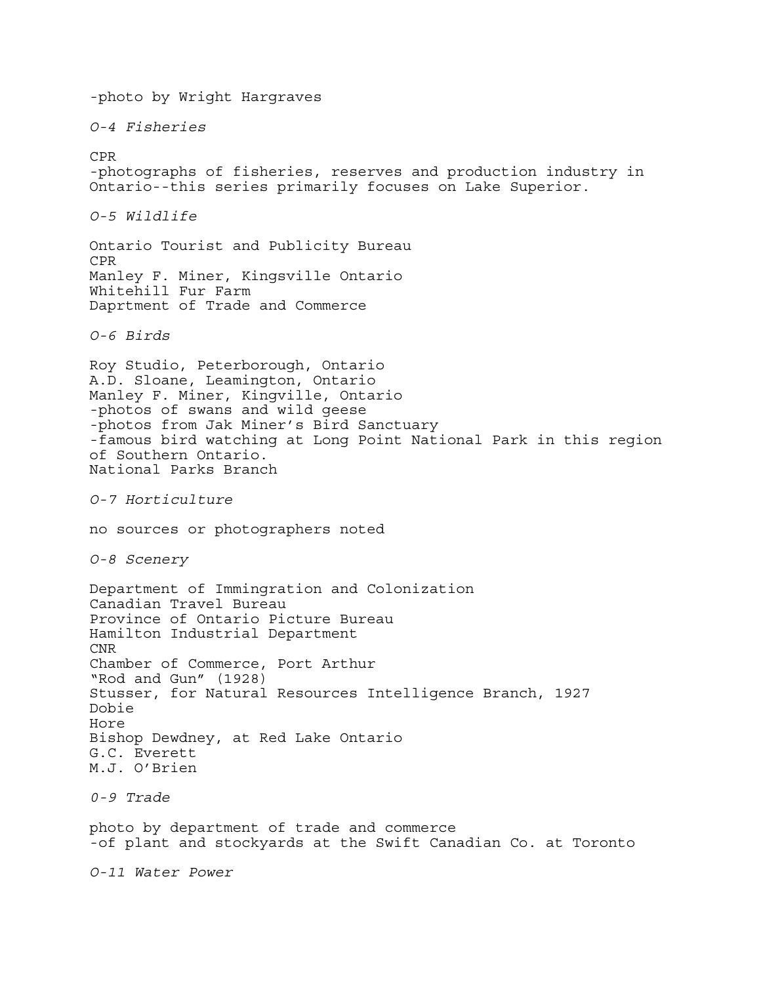-photo by Wright Hargraves *O-4 Fisheries* CPR -photographs of fisheries, reserves and production industry in Ontario--this series primarily focuses on Lake Superior. *O-5 Wildlife* Ontario Tourist and Publicity Bureau CPR Manley F. Miner, Kingsville Ontario Whitehill Fur Farm Daprtment of Trade and Commerce *O-6 Birds* Roy Studio, Peterborough, Ontario A.D. Sloane, Leamington, Ontario Manley F. Miner, Kingville, Ontario -photos of swans and wild geese -photos from Jak Miner's Bird Sanctuary -famous bird watching at Long Point National Park in this region of Southern Ontario. National Parks Branch *O-7 Horticulture* no sources or photographers noted *O-8 Scenery* Department of Immingration and Colonization Canadian Travel Bureau Province of Ontario Picture Bureau Hamilton Industrial Department CNR Chamber of Commerce, Port Arthur "Rod and Gun" (1928) Stusser, for Natural Resources Intelligence Branch, 1927 Dobie Hore Bishop Dewdney, at Red Lake Ontario G.C. Everett M.J. O'Brien *0-9 Trade* photo by department of trade and commerce -of plant and stockyards at the Swift Canadian Co. at Toronto *O-11 Water Power*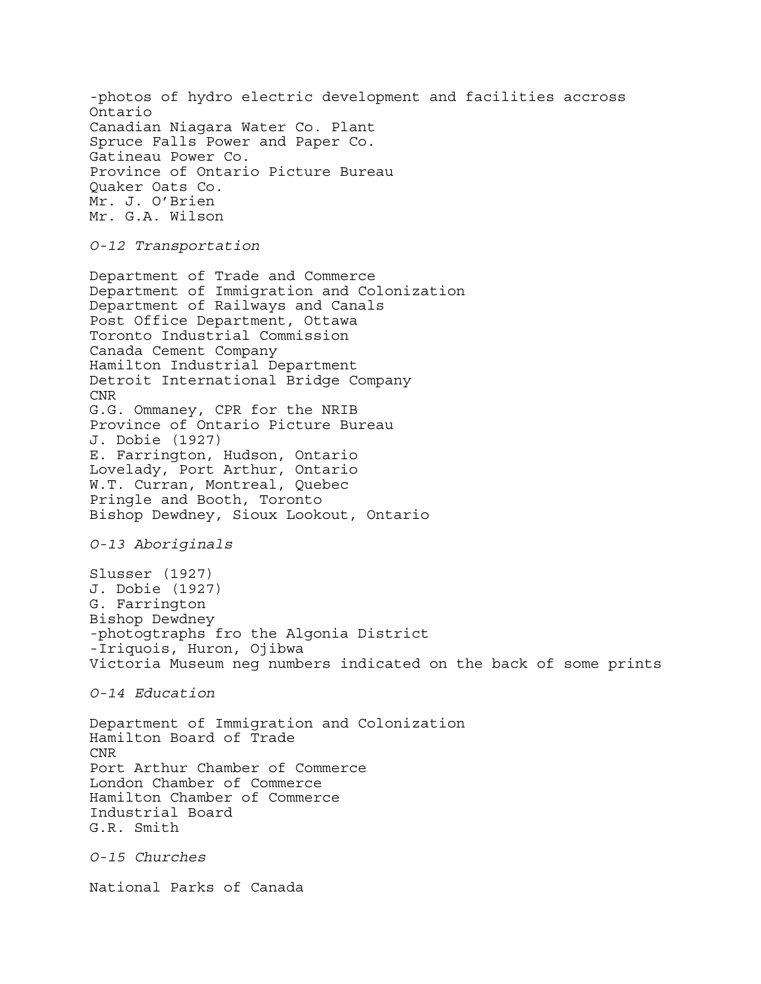-photos of hydro electric development and facilities accross Ontario Canadian Niagara Water Co. Plant Spruce Falls Power and Paper Co. Gatineau Power Co. Province of Ontario Picture Bureau Quaker Oats Co. Mr. J. O'Brien Mr. G.A. Wilson

*O-12 Transportation*

Department of Trade and Commerce Department of Immigration and Colonization Department of Railways and Canals Post Office Department, Ottawa Toronto Industrial Commission Canada Cement Company Hamilton Industrial Department Detroit International Bridge Company CNR G.G. Ommaney, CPR for the NRIB Province of Ontario Picture Bureau J. Dobie (1927) E. Farrington, Hudson, Ontario Lovelady, Port Arthur, Ontario W.T. Curran, Montreal, Quebec Pringle and Booth, Toronto Bishop Dewdney, Sioux Lookout, Ontario

*O-13 Aboriginals*

Slusser (1927) J. Dobie (1927) G. Farrington Bishop Dewdney -photogtraphs fro the Algonia District -Iriquois, Huron, Ojibwa Victoria Museum neg numbers indicated on the back of some prints

*O-14 Education*

Department of Immigration and Colonization Hamilton Board of Trade CNR Port Arthur Chamber of Commerce London Chamber of Commerce Hamilton Chamber of Commerce Industrial Board G.R. Smith

*O-15 Churches*

National Parks of Canada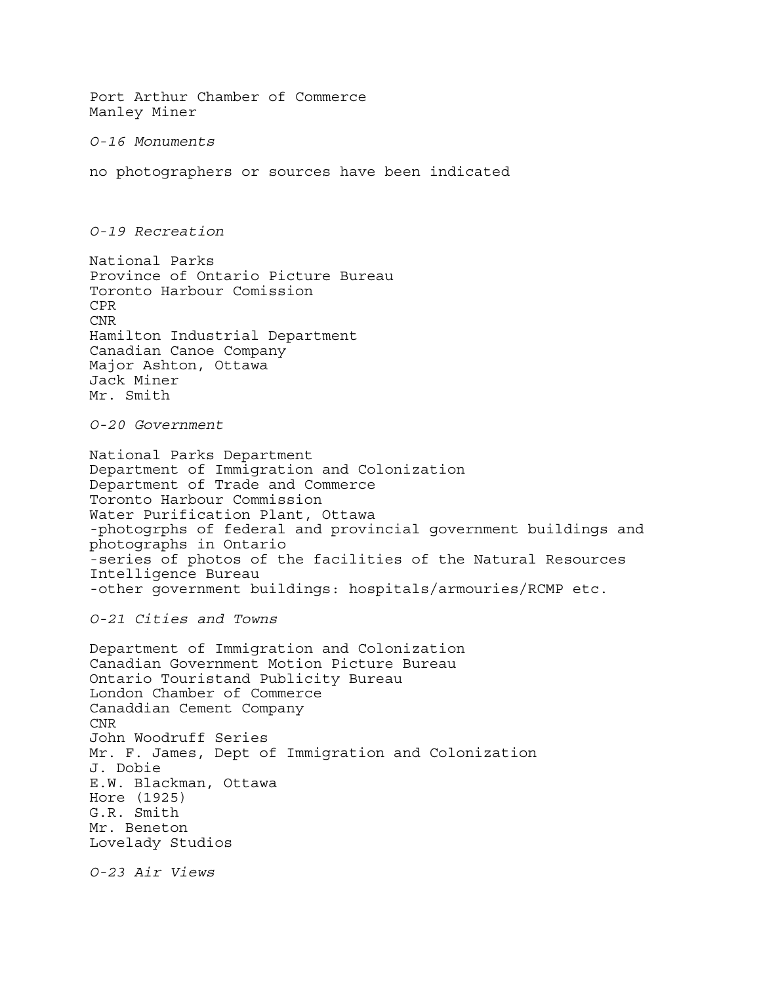Port Arthur Chamber of Commerce Manley Miner *O-16 Monuments* no photographers or sources have been indicated *O-19 Recreation* National Parks Province of Ontario Picture Bureau Toronto Harbour Comission CPR CNR Hamilton Industrial Department Canadian Canoe Company Major Ashton, Ottawa Jack Miner Mr. Smith *O-20 Government* National Parks Department Department of Immigration and Colonization Department of Trade and Commerce Toronto Harbour Commission Water Purification Plant, Ottawa -photogrphs of federal and provincial government buildings and photographs in Ontario -series of photos of the facilities of the Natural Resources Intelligence Bureau -other government buildings: hospitals/armouries/RCMP etc. *O-21 Cities and Towns* Department of Immigration and Colonization Canadian Government Motion Picture Bureau Ontario Touristand Publicity Bureau London Chamber of Commerce Canaddian Cement Company CNR John Woodruff Series Mr. F. James, Dept of Immigration and Colonization J. Dobie E.W. Blackman, Ottawa Hore (1925) G.R. Smith Mr. Beneton Lovelady Studios

*O-23 Air Views*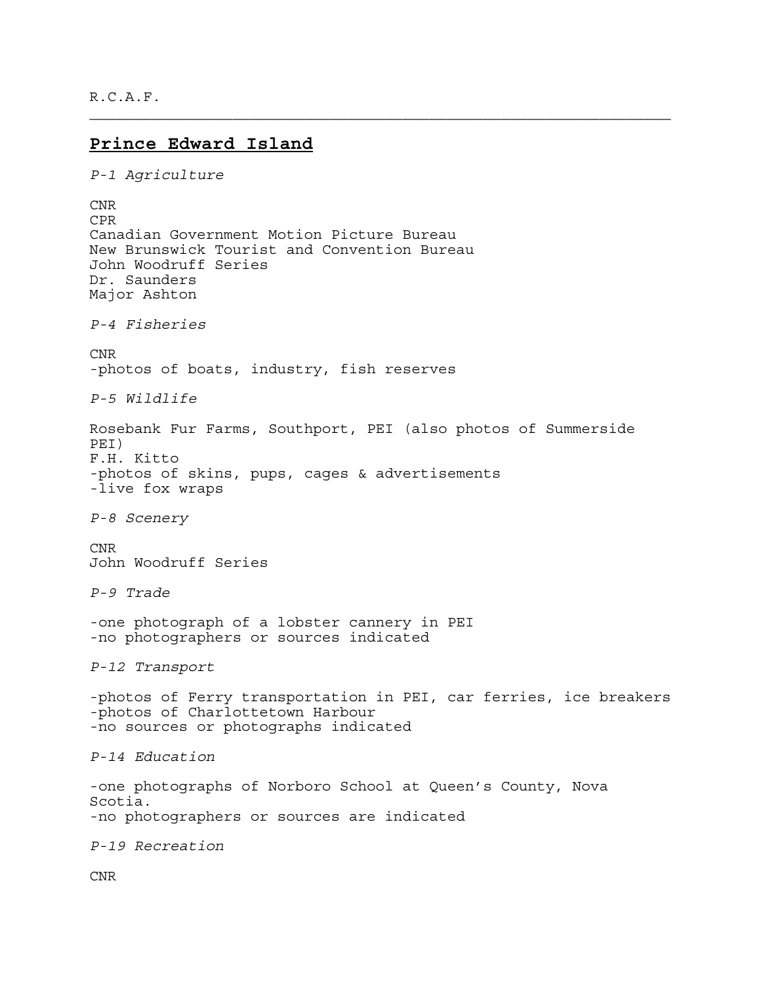R.C.A.F.

### **Prince Edward Island**

```
P-1 Agriculture
CNR 
CPR 
Canadian Government Motion Picture Bureau 
New Brunswick Tourist and Convention Bureau 
John Woodruff Series 
Dr. Saunders 
Major Ashton 
P-4 Fisheries
CNR 
-photos of boats, industry, fish reserves 
P-5 Wildlife
Rosebank Fur Farms, Southport, PEI (also photos of Summerside 
PEI) 
F.H. Kitto 
-photos of skins, pups, cages & advertisements 
-live fox wraps 
P-8 Scenery
CNR 
John Woodruff Series 
P-9 Trade
-one photograph of a lobster cannery in PEI 
-no photographers or sources indicated 
P-12 Transport 
-photos of Ferry transportation in PEI, car ferries, ice breakers 
-photos of Charlottetown Harbour 
-no sources or photographs indicated 
P-14 Education
-one photographs of Norboro School at Queen's County, Nova 
Scotia. 
-no photographers or sources are indicated 
P-19 Recreation
CNR
```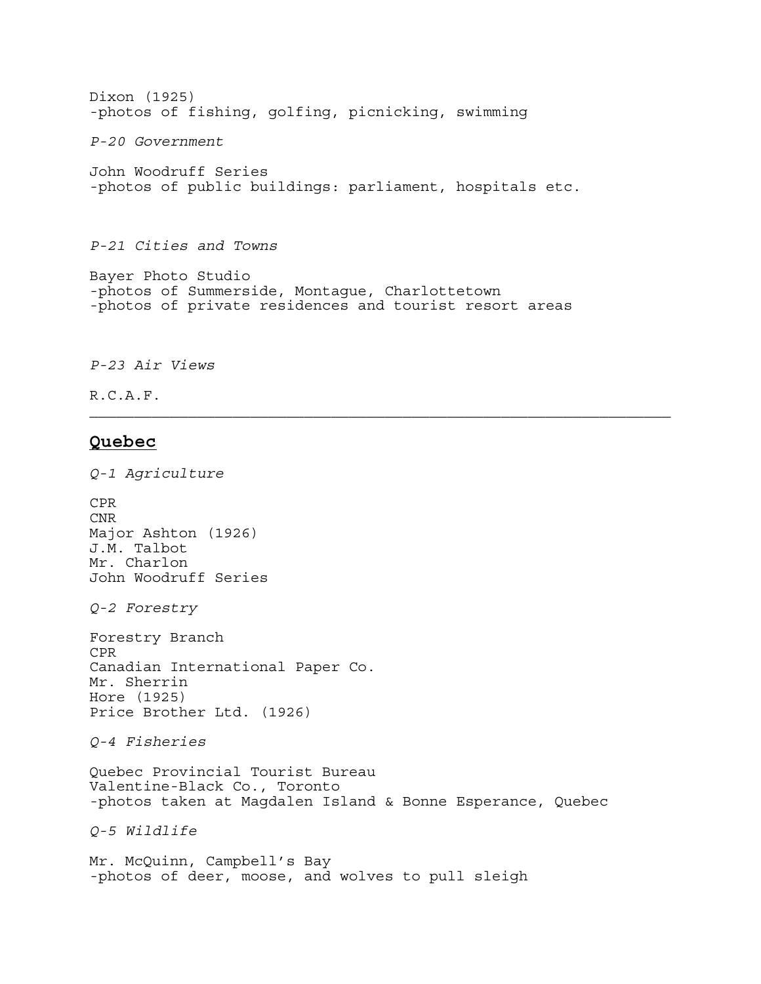Dixon (1925) -photos of fishing, golfing, picnicking, swimming

*P-20 Government*

John Woodruff Series -photos of public buildings: parliament, hospitals etc.

*P-21 Cities and Towns*

Bayer Photo Studio -photos of Summerside, Montague, Charlottetown -photos of private residences and tourist resort areas

*P-23 Air Views*

R.C.A.F.

#### **Quebec**

*Q-1 Agriculture* CPR

CNR Major Ashton (1926) J.M. Talbot Mr. Charlon John Woodruff Series *Q-2 Forestry* Forestry Branch CPR Canadian International Paper Co. Mr. Sherrin Hore (1925) Price Brother Ltd. (1926) *Q-4 Fisheries* Quebec Provincial Tourist Bureau Valentine-Black Co., Toronto -photos taken at Magdalen Island & Bonne Esperance, Quebec *Q-5 Wildlife* Mr. McQuinn, Campbell's Bay

-photos of deer, moose, and wolves to pull sleigh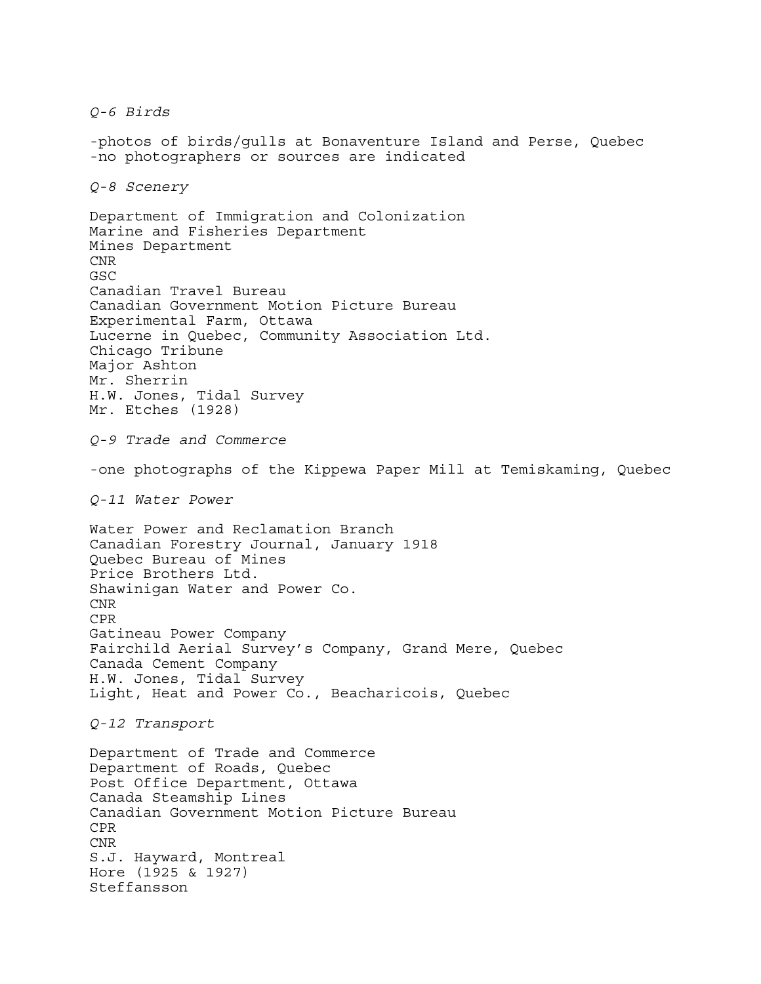*Q-6 Birds* -photos of birds/gulls at Bonaventure Island and Perse, Quebec -no photographers or sources are indicated *Q-8 Scenery* Department of Immigration and Colonization Marine and Fisheries Department Mines Department CNR GSC Canadian Travel Bureau Canadian Government Motion Picture Bureau Experimental Farm, Ottawa Lucerne in Quebec, Community Association Ltd. Chicago Tribune Major Ashton Mr. Sherrin H.W. Jones, Tidal Survey Mr. Etches (1928) *Q-9 Trade and Commerce* -one photographs of the Kippewa Paper Mill at Temiskaming, Quebec *Q-11 Water Power* Water Power and Reclamation Branch Canadian Forestry Journal, January 1918 Quebec Bureau of Mines Price Brothers Ltd. Shawinigan Water and Power Co. CNR CPR Gatineau Power Company Fairchild Aerial Survey's Company, Grand Mere, Quebec Canada Cement Company H.W. Jones, Tidal Survey Light, Heat and Power Co., Beacharicois, Quebec *Q-12 Transport* Department of Trade and Commerce Department of Roads, Quebec Post Office Department, Ottawa Canada Steamship Lines Canadian Government Motion Picture Bureau CPR CNR S.J. Hayward, Montreal Hore (1925 & 1927) Steffansson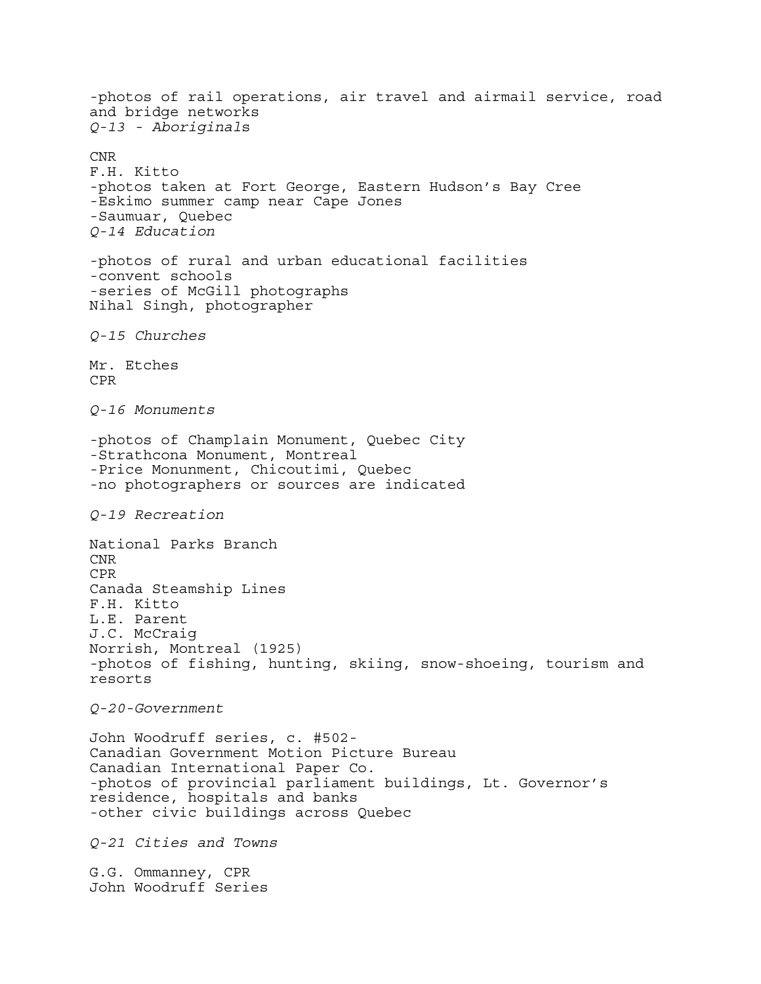-photos of rail operations, air travel and airmail service, road and bridge networks *Q-13 - Aboriginal*s CNR F.H. Kitto -photos taken at Fort George, Eastern Hudson's Bay Cree -Eskimo summer camp near Cape Jones -Saumuar, Quebec *Q-14 Education* -photos of rural and urban educational facilities -convent schools -series of McGill photographs Nihal Singh, photographer *Q-15 Churches* Mr. Etches CPR *Q-16 Monuments* -photos of Champlain Monument, Quebec City -Strathcona Monument, Montreal -Price Monunment, Chicoutimi, Quebec -no photographers or sources are indicated *Q-19 Recreation* National Parks Branch CNR CPR Canada Steamship Lines F.H. Kitto L.E. Parent J.C. McCraig Norrish, Montreal (1925) -photos of fishing, hunting, skiing, snow-shoeing, tourism and resorts *Q-20-Government*  John Woodruff series, c. #502- Canadian Government Motion Picture Bureau Canadian International Paper Co. -photos of provincial parliament buildings, Lt. Governor's residence, hospitals and banks -other civic buildings across Quebec *Q-21 Cities and Towns*  G.G. Ommanney, CPR John Woodruff Series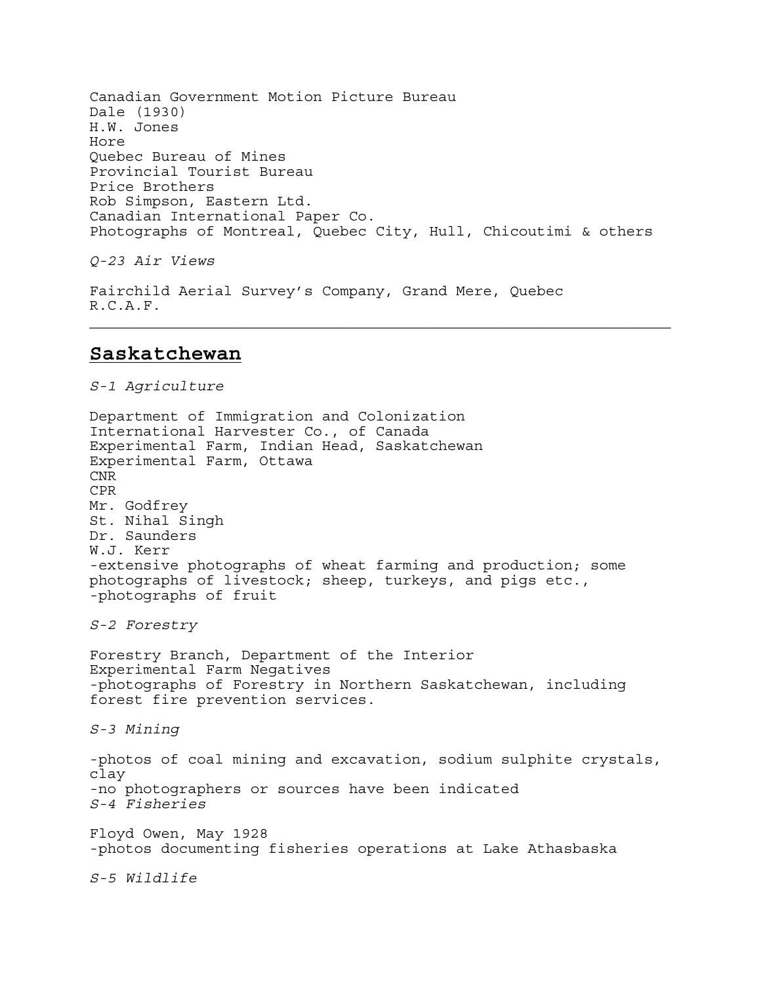Canadian Government Motion Picture Bureau Dale (1930) H.W. Jones Hore Quebec Bureau of Mines Provincial Tourist Bureau Price Brothers Rob Simpson, Eastern Ltd. Canadian International Paper Co. Photographs of Montreal, Quebec City, Hull, Chicoutimi & others

*Q-23 Air Views* 

Fairchild Aerial Survey's Company, Grand Mere, Quebec R.C.A.F.

## **Saskatchewan**

*S-1 Agriculture*  Department of Immigration and Colonization International Harvester Co., of Canada Experimental Farm, Indian Head, Saskatchewan Experimental Farm, Ottawa CNR CPR Mr. Godfrey St. Nihal Singh Dr. Saunders W.J. Kerr -extensive photographs of wheat farming and production; some photographs of livestock; sheep, turkeys, and pigs etc., -photographs of fruit *S-2 Forestry* Forestry Branch, Department of the Interior Experimental Farm Negatives -photographs of Forestry in Northern Saskatchewan, including forest fire prevention services. *S-3 Mining*  -photos of coal mining and excavation, sodium sulphite crystals, clay -no photographers or sources have been indicated *S-4 Fisheries* Floyd Owen, May 1928 -photos documenting fisheries operations at Lake Athasbaska *S-5 Wildlife*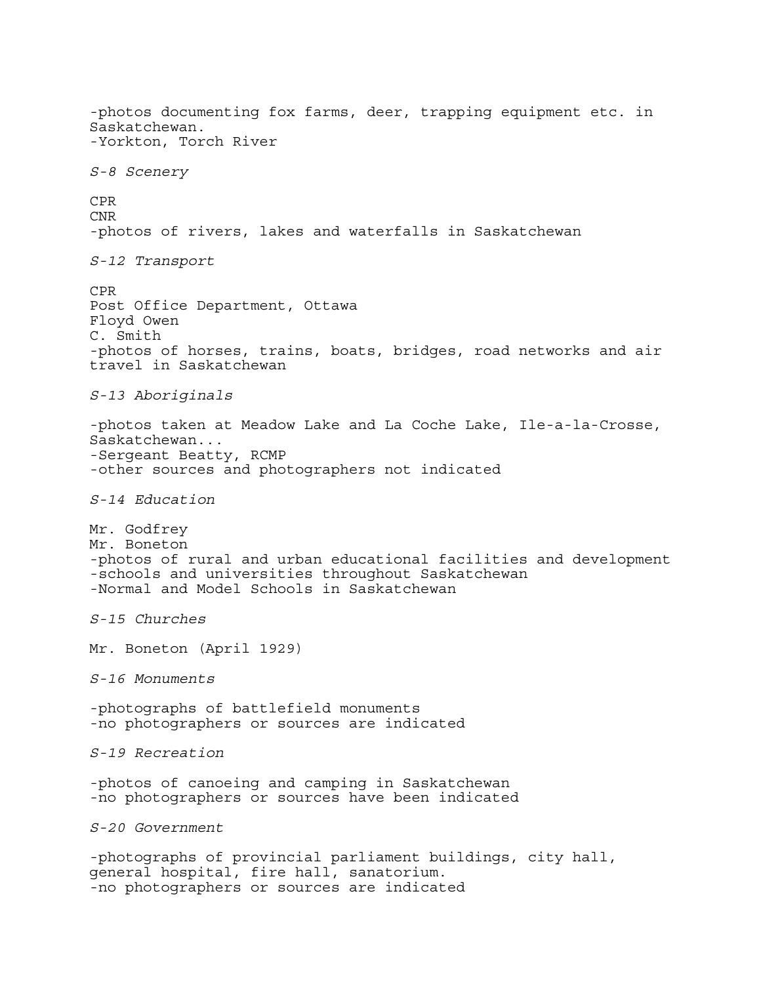-photos documenting fox farms, deer, trapping equipment etc. in Saskatchewan. -Yorkton, Torch River *S-8 Scenery* CPR CNR -photos of rivers, lakes and waterfalls in Saskatchewan *S-12 Transport* CPR Post Office Department, Ottawa Floyd Owen C. Smith -photos of horses, trains, boats, bridges, road networks and air travel in Saskatchewan *S-13 Aboriginals* -photos taken at Meadow Lake and La Coche Lake, Ile-a-la-Crosse, Saskatchewan... -Sergeant Beatty, RCMP -other sources and photographers not indicated *S-14 Education* Mr. Godfrey Mr. Boneton -photos of rural and urban educational facilities and development -schools and universities throughout Saskatchewan -Normal and Model Schools in Saskatchewan *S-15 Churches* Mr. Boneton (April 1929) *S-16 Monuments* -photographs of battlefield monuments -no photographers or sources are indicated *S-19 Recreation* -photos of canoeing and camping in Saskatchewan -no photographers or sources have been indicated *S-20 Government* -photographs of provincial parliament buildings, city hall, general hospital, fire hall, sanatorium. -no photographers or sources are indicated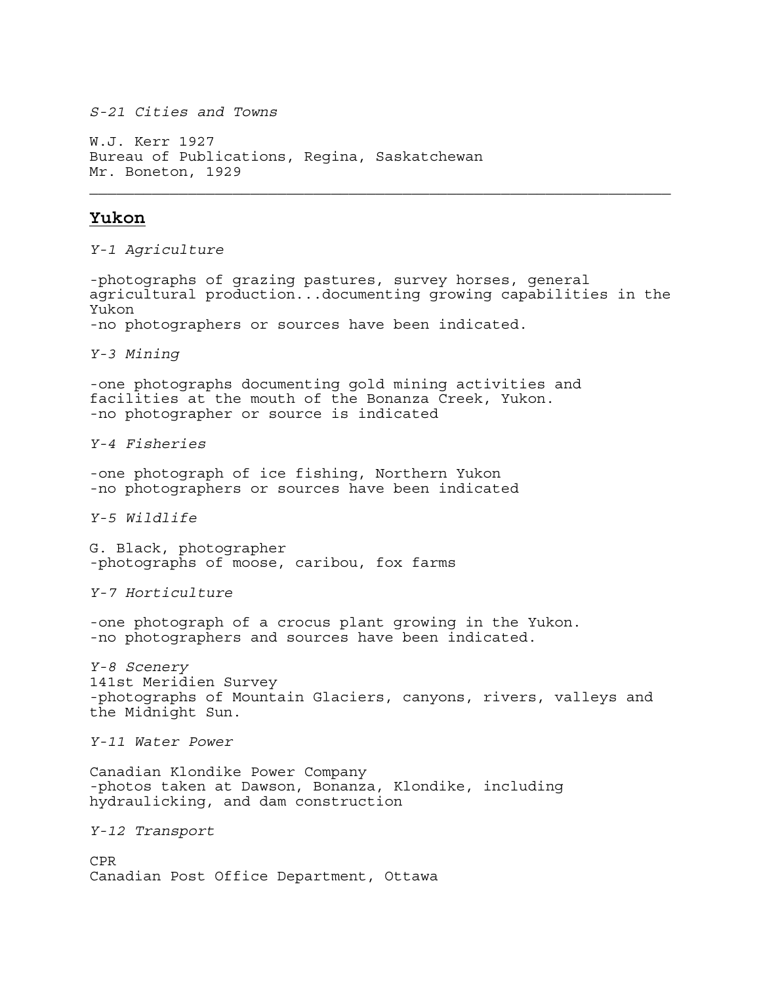*S-21 Cities and Towns*

W.J. Kerr 1927 Bureau of Publications, Regina, Saskatchewan Mr. Boneton, 1929

## **Yukon**

*Y-1 Agriculture*

-photographs of grazing pastures, survey horses, general agricultural production...documenting growing capabilities in the Yukon -no photographers or sources have been indicated. *Y-3 Mining* -one photographs documenting gold mining activities and facilities at the mouth of the Bonanza Creek, Yukon. -no photographer or source is indicated *Y-4 Fisheries* -one photograph of ice fishing, Northern Yukon -no photographers or sources have been indicated *Y-5 Wildlife* G. Black, photographer -photographs of moose, caribou, fox farms *Y-7 Horticulture* -one photograph of a crocus plant growing in the Yukon. -no photographers and sources have been indicated. *Y-8 Scenery* 141st Meridien Survey -photographs of Mountain Glaciers, canyons, rivers, valleys and the Midnight Sun. *Y-11 Water Power* Canadian Klondike Power Company -photos taken at Dawson, Bonanza, Klondike, including hydraulicking, and dam construction *Y-12 Transport* CPR Canadian Post Office Department, Ottawa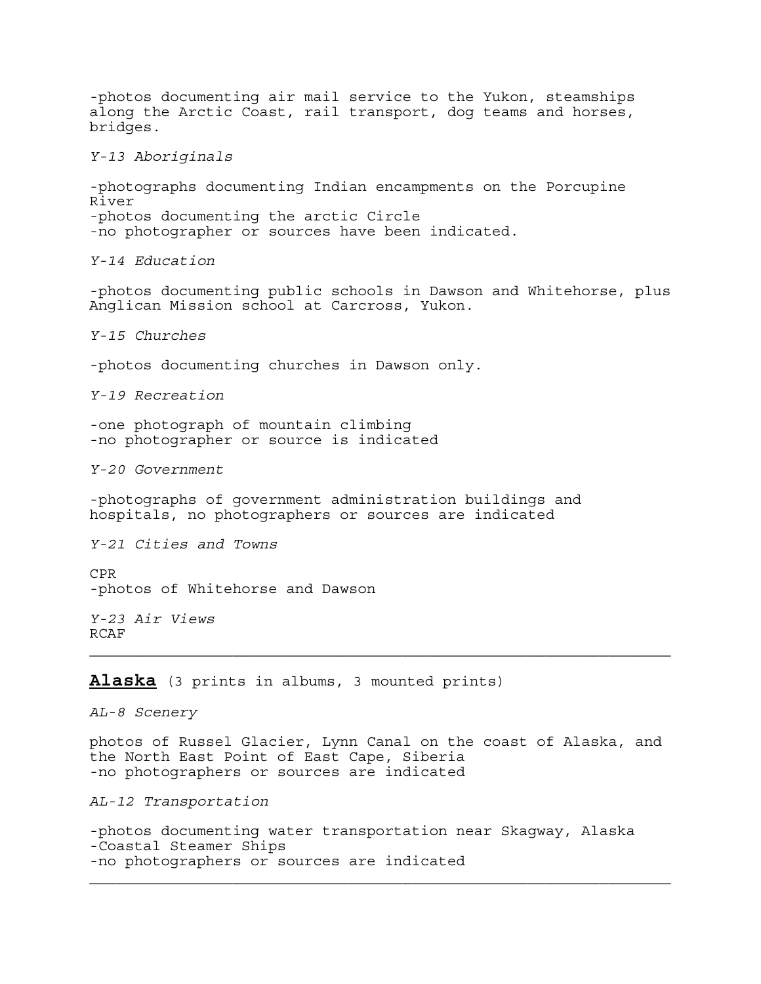-photos documenting air mail service to the Yukon, steamships along the Arctic Coast, rail transport, dog teams and horses, bridges. *Y-13 Aboriginals* -photographs documenting Indian encampments on the Porcupine River -photos documenting the arctic Circle -no photographer or sources have been indicated. *Y-14 Education* -photos documenting public schools in Dawson and Whitehorse, plus Anglican Mission school at Carcross, Yukon. *Y-15 Churches* -photos documenting churches in Dawson only. *Y-19 Recreation* -one photograph of mountain climbing -no photographer or source is indicated *Y-20 Government* -photographs of government administration buildings and hospitals, no photographers or sources are indicated *Y-21 Cities and Towns* CPR -photos of Whitehorse and Dawson *Y-23 Air Views* RCAF **Alaska** (3 prints in albums, 3 mounted prints) *AL-8 Scenery* photos of Russel Glacier, Lynn Canal on the coast of Alaska, and the North East Point of East Cape, Siberia -no photographers or sources are indicated *AL-12 Transportation* -photos documenting water transportation near Skagway, Alaska -Coastal Steamer Ships

-no photographers or sources are indicated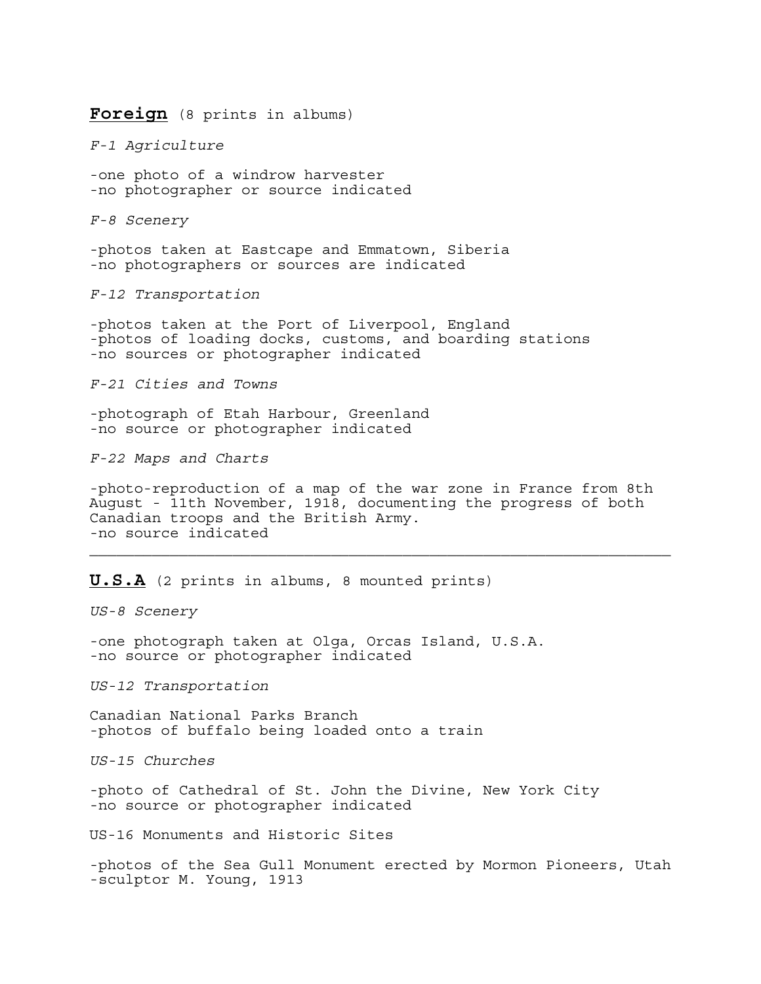#### **Foreign** (8 prints in albums)

*F-1 Agriculture*

-one photo of a windrow harvester -no photographer or source indicated

*F-8 Scenery*

-photos taken at Eastcape and Emmatown, Siberia -no photographers or sources are indicated

*F-12 Transportation*

-photos taken at the Port of Liverpool, England -photos of loading docks, customs, and boarding stations -no sources or photographer indicated

*F-21 Cities and Towns*

-photograph of Etah Harbour, Greenland -no source or photographer indicated

*F-22 Maps and Charts*

-photo-reproduction of a map of the war zone in France from 8th August - 11th November, 1918, documenting the progress of both Canadian troops and the British Army. -no source indicated

**U.S.A** (2 prints in albums, 8 mounted prints)

*US-8 Scenery*

-one photograph taken at Olga, Orcas Island, U.S.A. -no source or photographer indicated

*US-12 Transportation*

Canadian National Parks Branch -photos of buffalo being loaded onto a train

*US-15 Churches*

-photo of Cathedral of St. John the Divine, New York City -no source or photographer indicated

US-16 Monuments and Historic Sites

-photos of the Sea Gull Monument erected by Mormon Pioneers, Utah -sculptor M. Young, 1913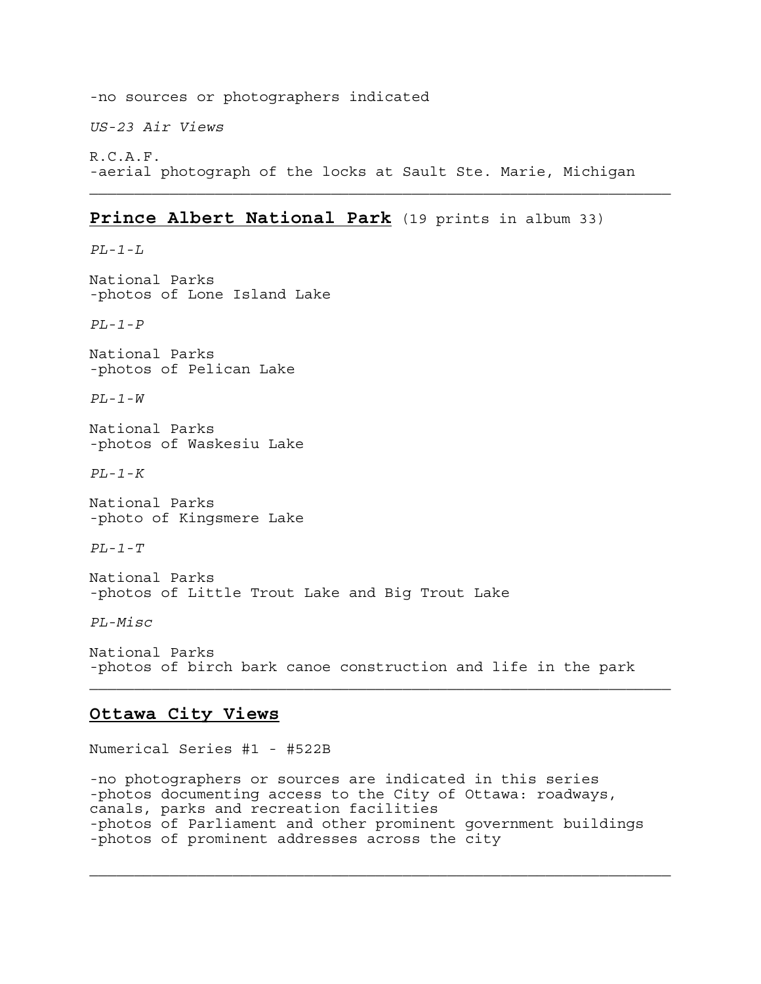-no sources or photographers indicated *US-23 Air Views* R.C.A.F. -aerial photograph of the locks at Sault Ste. Marie, Michigan

## **Prince Albert National Park** (19 prints in album 33)

National Parks -photos of Lone Island Lake

*PL-1-P*

*PL-1-L*

National Parks -photos of Pelican Lake

*PL-1-W*

National Parks -photos of Waskesiu Lake

*PL-1-K*

National Parks -photo of Kingsmere Lake

*PL-1-T*

National Parks -photos of Little Trout Lake and Big Trout Lake

*PL-Misc*

Ξ

National Parks -photos of birch bark canoe construction and life in the park

## **Ottawa City Views**

Numerical Series #1 - #522B

-no photographers or sources are indicated in this series -photos documenting access to the City of Ottawa: roadways, canals, parks and recreation facilities -photos of Parliament and other prominent government buildings -photos of prominent addresses across the city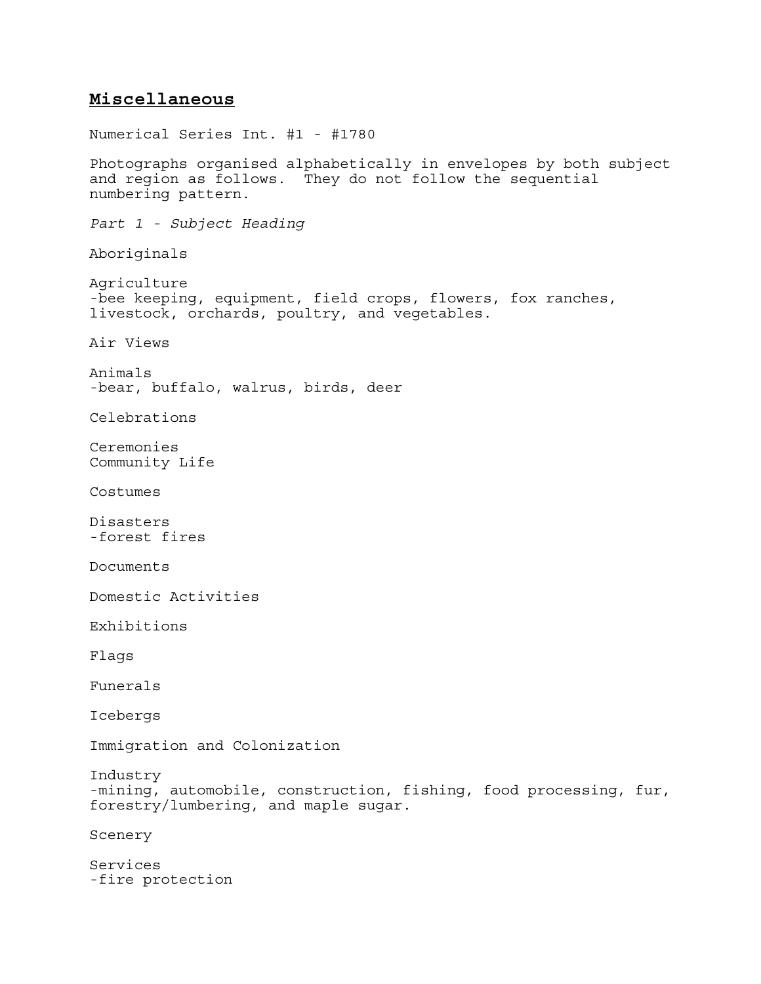## **Miscellaneous**

Numerical Series Int. #1 - #1780 Photographs organised alphabetically in envelopes by both subject and region as follows. They do not follow the sequential numbering pattern. *Part 1 - Subject Heading* Aboriginals Agriculture -bee keeping, equipment, field crops, flowers, fox ranches, livestock, orchards, poultry, and vegetables. Air Views Animals -bear, buffalo, walrus, birds, deer Celebrations Ceremonies Community Life Costumes Disasters -forest fires Documents Domestic Activities Exhibitions Flags Funerals Icebergs Immigration and Colonization Industry -mining, automobile, construction, fishing, food processing, fur, forestry/lumbering, and maple sugar. Scenery Services -fire protection